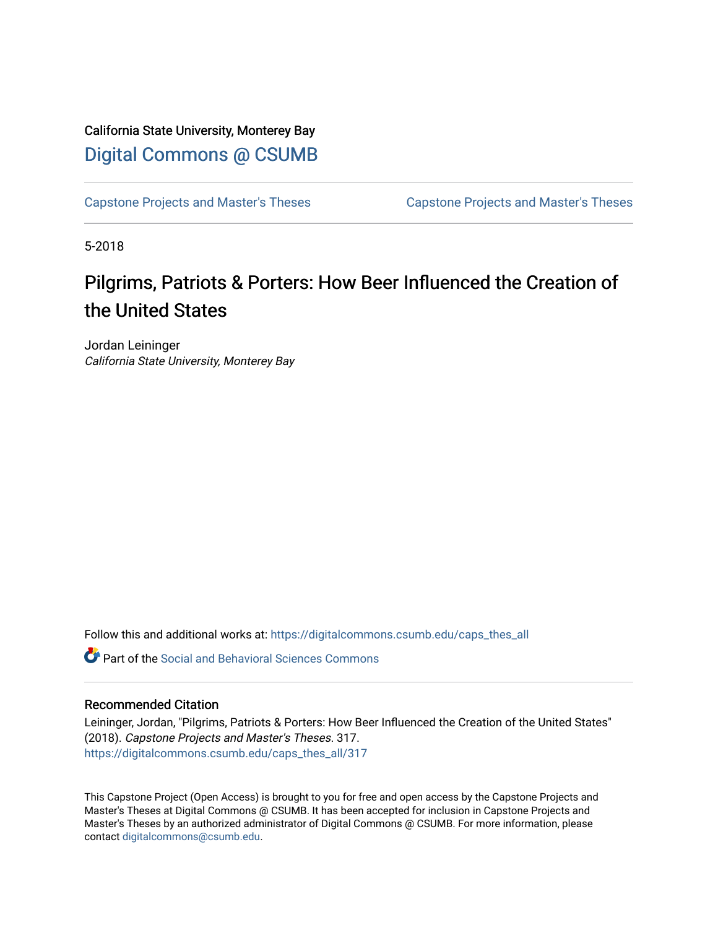### California State University, Monterey Bay [Digital Commons @ CSUMB](https://digitalcommons.csumb.edu/)

[Capstone Projects and Master's Theses](https://digitalcommons.csumb.edu/caps_thes_all) [Capstone Projects and Master's Theses](https://digitalcommons.csumb.edu/capstones_theses) 

5-2018

## Pilgrims, Patriots & Porters: How Beer Influenced the Creation of the United States

Jordan Leininger California State University, Monterey Bay

Follow this and additional works at: [https://digitalcommons.csumb.edu/caps\\_thes\\_all](https://digitalcommons.csumb.edu/caps_thes_all?utm_source=digitalcommons.csumb.edu%2Fcaps_thes_all%2F317&utm_medium=PDF&utm_campaign=PDFCoverPages)

Part of the [Social and Behavioral Sciences Commons](http://network.bepress.com/hgg/discipline/316?utm_source=digitalcommons.csumb.edu%2Fcaps_thes_all%2F317&utm_medium=PDF&utm_campaign=PDFCoverPages) 

#### Recommended Citation

Leininger, Jordan, "Pilgrims, Patriots & Porters: How Beer Influenced the Creation of the United States" (2018). Capstone Projects and Master's Theses. 317. [https://digitalcommons.csumb.edu/caps\\_thes\\_all/317](https://digitalcommons.csumb.edu/caps_thes_all/317?utm_source=digitalcommons.csumb.edu%2Fcaps_thes_all%2F317&utm_medium=PDF&utm_campaign=PDFCoverPages) 

This Capstone Project (Open Access) is brought to you for free and open access by the Capstone Projects and Master's Theses at Digital Commons @ CSUMB. It has been accepted for inclusion in Capstone Projects and Master's Theses by an authorized administrator of Digital Commons @ CSUMB. For more information, please contact [digitalcommons@csumb.edu.](mailto:digitalcommons@csumb.edu)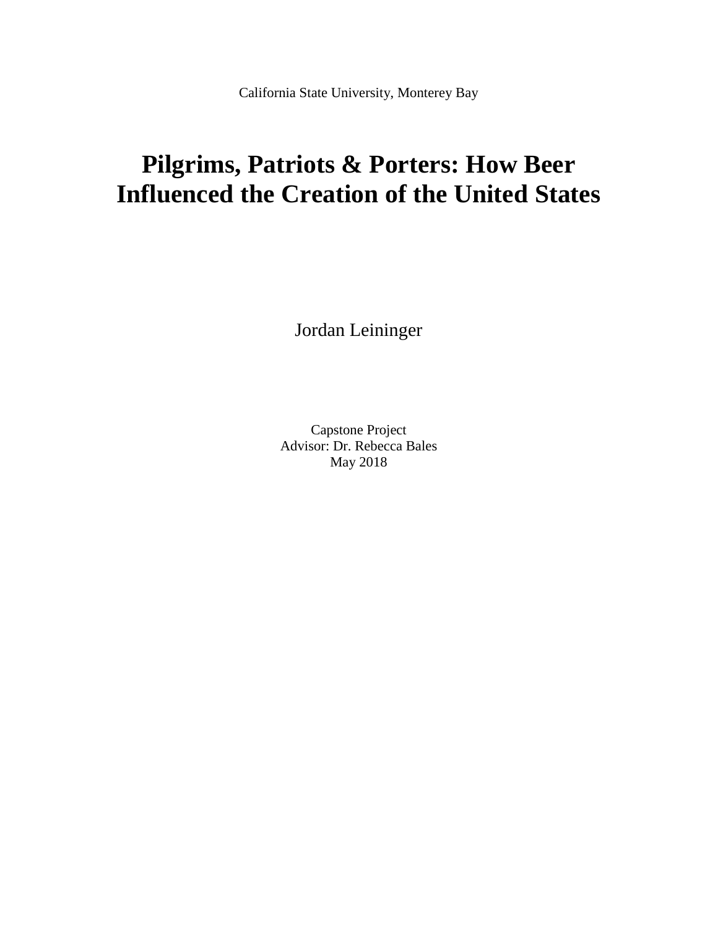California State University, Monterey Bay

# **Pilgrims, Patriots & Porters: How Beer Influenced the Creation of the United States**

Jordan Leininger

Capstone Project Advisor: Dr. Rebecca Bales May 2018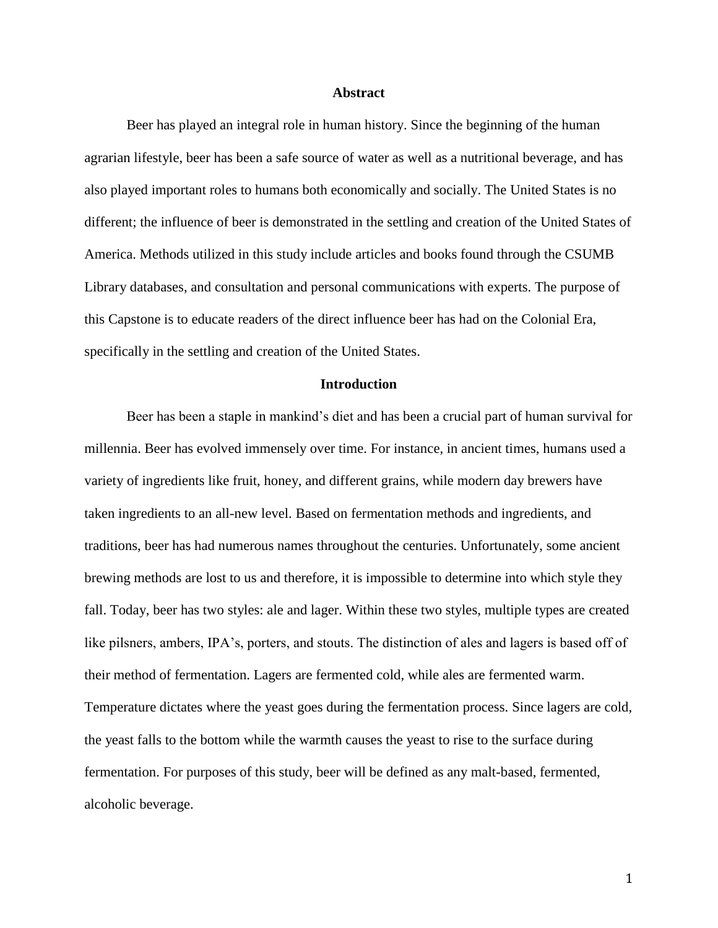#### **Abstract**

Beer has played an integral role in human history. Since the beginning of the human agrarian lifestyle, beer has been a safe source of water as well as a nutritional beverage, and has also played important roles to humans both economically and socially. The United States is no different; the influence of beer is demonstrated in the settling and creation of the United States of America. Methods utilized in this study include articles and books found through the CSUMB Library databases, and consultation and personal communications with experts. The purpose of this Capstone is to educate readers of the direct influence beer has had on the Colonial Era, specifically in the settling and creation of the United States.

#### **Introduction**

Beer has been a staple in mankind's diet and has been a crucial part of human survival for millennia. Beer has evolved immensely over time. For instance, in ancient times, humans used a variety of ingredients like fruit, honey, and different grains, while modern day brewers have taken ingredients to an all-new level. Based on fermentation methods and ingredients, and traditions, beer has had numerous names throughout the centuries. Unfortunately, some ancient brewing methods are lost to us and therefore, it is impossible to determine into which style they fall. Today, beer has two styles: ale and lager. Within these two styles, multiple types are created like pilsners, ambers, IPA's, porters, and stouts. The distinction of ales and lagers is based off of their method of fermentation. Lagers are fermented cold, while ales are fermented warm. Temperature dictates where the yeast goes during the fermentation process. Since lagers are cold, the yeast falls to the bottom while the warmth causes the yeast to rise to the surface during fermentation. For purposes of this study, beer will be defined as any malt-based, fermented, alcoholic beverage.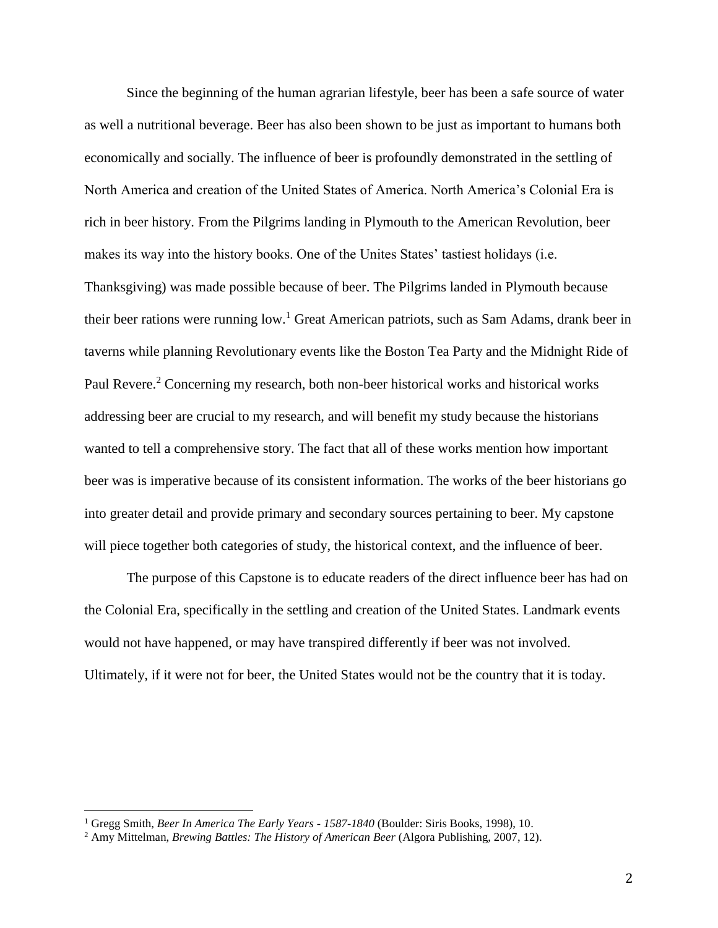Since the beginning of the human agrarian lifestyle, beer has been a safe source of water as well a nutritional beverage. Beer has also been shown to be just as important to humans both economically and socially. The influence of beer is profoundly demonstrated in the settling of North America and creation of the United States of America. North America's Colonial Era is rich in beer history. From the Pilgrims landing in Plymouth to the American Revolution, beer makes its way into the history books. One of the Unites States' tastiest holidays (i.e. Thanksgiving) was made possible because of beer. The Pilgrims landed in Plymouth because their beer rations were running low.<sup>1</sup> Great American patriots, such as Sam Adams, drank beer in taverns while planning Revolutionary events like the Boston Tea Party and the Midnight Ride of Paul Revere.<sup>2</sup> Concerning my research, both non-beer historical works and historical works addressing beer are crucial to my research, and will benefit my study because the historians wanted to tell a comprehensive story. The fact that all of these works mention how important beer was is imperative because of its consistent information. The works of the beer historians go into greater detail and provide primary and secondary sources pertaining to beer. My capstone will piece together both categories of study, the historical context, and the influence of beer.

The purpose of this Capstone is to educate readers of the direct influence beer has had on the Colonial Era, specifically in the settling and creation of the United States. Landmark events would not have happened, or may have transpired differently if beer was not involved. Ultimately, if it were not for beer, the United States would not be the country that it is today.

l

<sup>1</sup> Gregg Smith, *Beer In America The Early Years - 1587-1840* (Boulder: Siris Books, 1998), 10.

<sup>2</sup> Amy Mittelman, *Brewing Battles: The History of American Beer* (Algora Publishing, 2007, 12).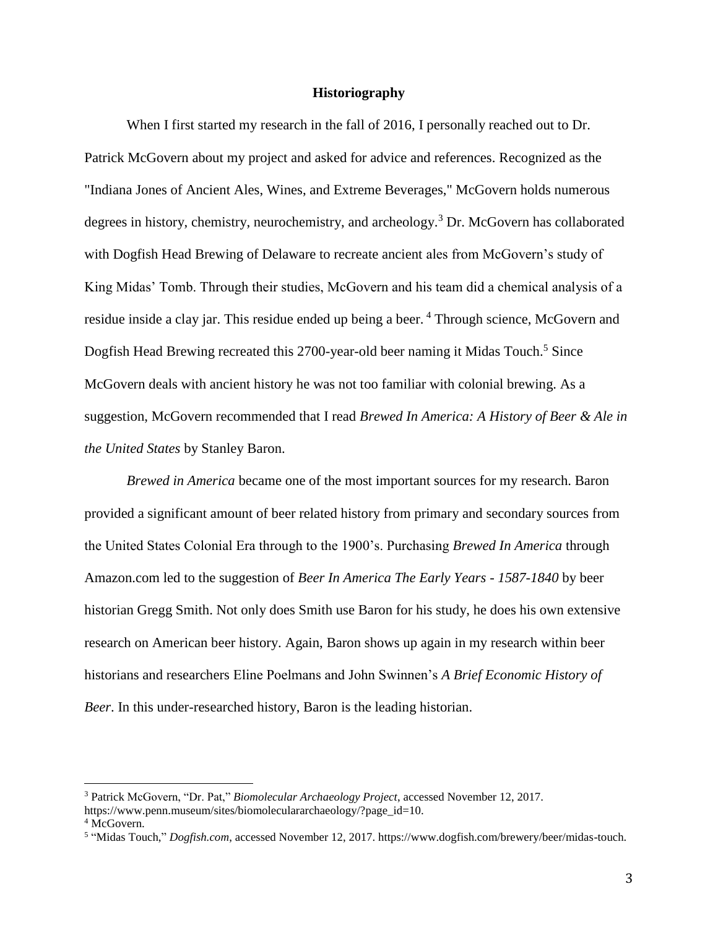#### **Historiography**

When I first started my research in the fall of 2016, I personally reached out to Dr. Patrick McGovern about my project and asked for advice and references. Recognized as the "Indiana Jones of Ancient Ales, Wines, and Extreme Beverages," McGovern holds numerous degrees in history, chemistry, neurochemistry, and archeology.<sup>3</sup> Dr. McGovern has collaborated with Dogfish Head Brewing of Delaware to recreate ancient ales from McGovern's study of King Midas' Tomb. Through their studies, McGovern and his team did a chemical analysis of a residue inside a clay jar. This residue ended up being a beer.<sup>4</sup> Through science, McGovern and Dogfish Head Brewing recreated this 2700-year-old beer naming it Midas Touch.<sup>5</sup> Since McGovern deals with ancient history he was not too familiar with colonial brewing. As a suggestion, McGovern recommended that I read *Brewed In America: A History of Beer & Ale in the United States* by Stanley Baron.

*Brewed in America* became one of the most important sources for my research. Baron provided a significant amount of beer related history from primary and secondary sources from the United States Colonial Era through to the 1900's. Purchasing *Brewed In America* through Amazon.com led to the suggestion of *Beer In America The Early Years - 1587-1840* by beer historian Gregg Smith. Not only does Smith use Baron for his study, he does his own extensive research on American beer history. Again, Baron shows up again in my research within beer historians and researchers Eline Poelmans and John Swinnen's *A Brief Economic History of Beer*. In this under-researched history, Baron is the leading historian.

<sup>3</sup> Patrick McGovern, "Dr. Pat," *Biomolecular Archaeology Project*, accessed November 12, 2017.

https://www.penn.museum/sites/biomoleculararchaeology/?page\_id=10.

<sup>&</sup>lt;sup>4</sup> McGovern.

<sup>5</sup> "Midas Touch," *Dogfish.com*, accessed November 12, 2017. https://www.dogfish.com/brewery/beer/midas-touch.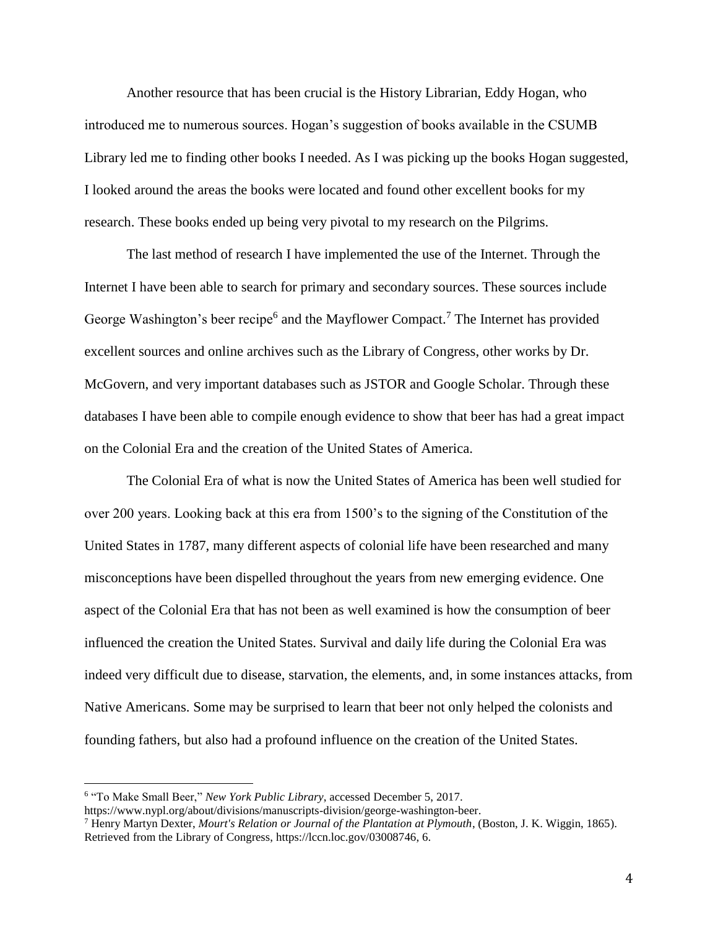Another resource that has been crucial is the History Librarian, Eddy Hogan, who introduced me to numerous sources. Hogan's suggestion of books available in the CSUMB Library led me to finding other books I needed. As I was picking up the books Hogan suggested, I looked around the areas the books were located and found other excellent books for my research. These books ended up being very pivotal to my research on the Pilgrims.

The last method of research I have implemented the use of the Internet. Through the Internet I have been able to search for primary and secondary sources. These sources include George Washington's beer recipe<sup>6</sup> and the Mayflower Compact.<sup>7</sup> The Internet has provided excellent sources and online archives such as the Library of Congress, other works by Dr. McGovern, and very important databases such as JSTOR and Google Scholar. Through these databases I have been able to compile enough evidence to show that beer has had a great impact on the Colonial Era and the creation of the United States of America.

The Colonial Era of what is now the United States of America has been well studied for over 200 years. Looking back at this era from 1500's to the signing of the Constitution of the United States in 1787, many different aspects of colonial life have been researched and many misconceptions have been dispelled throughout the years from new emerging evidence. One aspect of the Colonial Era that has not been as well examined is how the consumption of beer influenced the creation the United States. Survival and daily life during the Colonial Era was indeed very difficult due to disease, starvation, the elements, and, in some instances attacks, from Native Americans. Some may be surprised to learn that beer not only helped the colonists and founding fathers, but also had a profound influence on the creation of the United States.

<sup>&</sup>lt;sup>6</sup> "To Make Small Beer," *New York Public Library*, accessed December 5, 2017.

https://www.nypl.org/about/divisions/manuscripts-division/george-washington-beer.

<sup>7</sup> Henry Martyn Dexter, *Mourt's Relation or Journal of the Plantation at Plymouth*, (Boston, J. K. Wiggin, 1865). Retrieved from the Library of Congress, https://lccn.loc.gov/03008746, 6.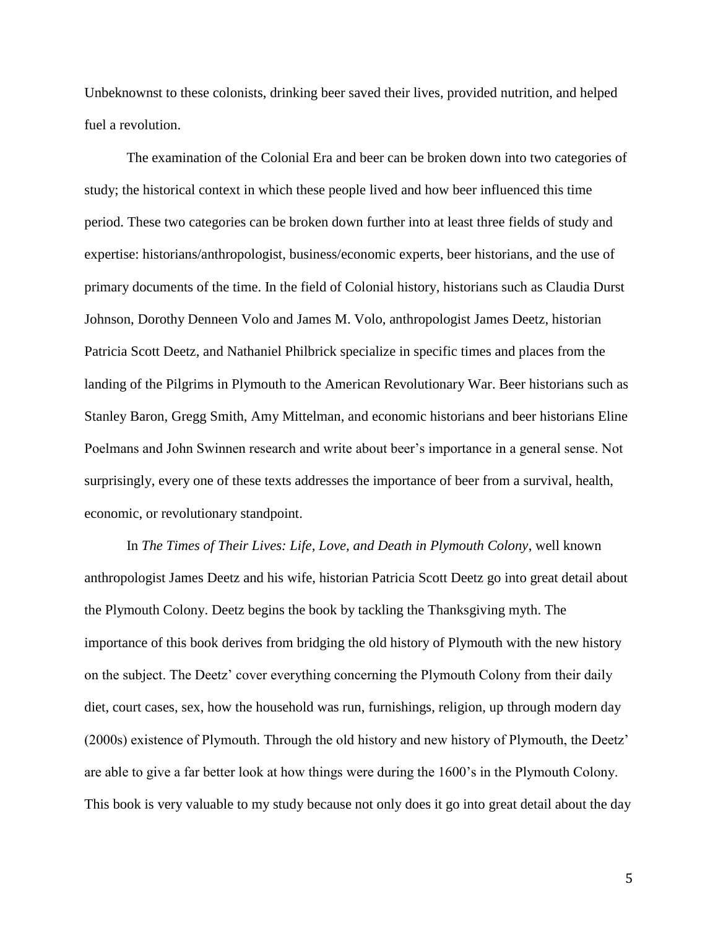Unbeknownst to these colonists, drinking beer saved their lives, provided nutrition, and helped fuel a revolution.

The examination of the Colonial Era and beer can be broken down into two categories of study; the historical context in which these people lived and how beer influenced this time period. These two categories can be broken down further into at least three fields of study and expertise: historians/anthropologist, business/economic experts, beer historians, and the use of primary documents of the time. In the field of Colonial history, historians such as Claudia Durst Johnson, Dorothy Denneen Volo and James M. Volo, anthropologist James Deetz, historian Patricia Scott Deetz, and Nathaniel Philbrick specialize in specific times and places from the landing of the Pilgrims in Plymouth to the American Revolutionary War. Beer historians such as Stanley Baron, Gregg Smith, Amy Mittelman, and economic historians and beer historians Eline Poelmans and John Swinnen research and write about beer's importance in a general sense. Not surprisingly, every one of these texts addresses the importance of beer from a survival, health, economic, or revolutionary standpoint.

In *The Times of Their Lives: Life, Love, and Death in Plymouth Colony*, well known anthropologist James Deetz and his wife, historian Patricia Scott Deetz go into great detail about the Plymouth Colony. Deetz begins the book by tackling the Thanksgiving myth. The importance of this book derives from bridging the old history of Plymouth with the new history on the subject. The Deetz' cover everything concerning the Plymouth Colony from their daily diet, court cases, sex, how the household was run, furnishings, religion, up through modern day (2000s) existence of Plymouth. Through the old history and new history of Plymouth, the Deetz' are able to give a far better look at how things were during the 1600's in the Plymouth Colony. This book is very valuable to my study because not only does it go into great detail about the day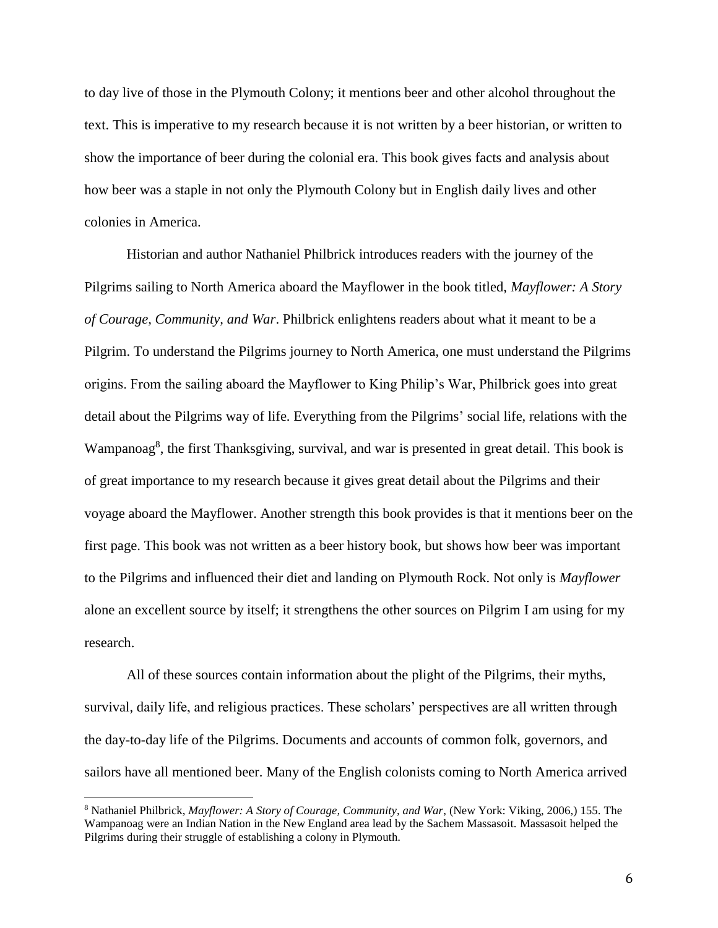to day live of those in the Plymouth Colony; it mentions beer and other alcohol throughout the text. This is imperative to my research because it is not written by a beer historian, or written to show the importance of beer during the colonial era. This book gives facts and analysis about how beer was a staple in not only the Plymouth Colony but in English daily lives and other colonies in America.

Historian and author Nathaniel Philbrick introduces readers with the journey of the Pilgrims sailing to North America aboard the Mayflower in the book titled, *Mayflower: A Story of Courage, Community, and War*. Philbrick enlightens readers about what it meant to be a Pilgrim. To understand the Pilgrims journey to North America, one must understand the Pilgrims origins. From the sailing aboard the Mayflower to King Philip's War, Philbrick goes into great detail about the Pilgrims way of life. Everything from the Pilgrims' social life, relations with the Wampanoag<sup>8</sup>, the first Thanksgiving, survival, and war is presented in great detail. This book is of great importance to my research because it gives great detail about the Pilgrims and their voyage aboard the Mayflower. Another strength this book provides is that it mentions beer on the first page. This book was not written as a beer history book, but shows how beer was important to the Pilgrims and influenced their diet and landing on Plymouth Rock. Not only is *Mayflower* alone an excellent source by itself; it strengthens the other sources on Pilgrim I am using for my research.

All of these sources contain information about the plight of the Pilgrims, their myths, survival, daily life, and religious practices. These scholars' perspectives are all written through the day-to-day life of the Pilgrims. Documents and accounts of common folk, governors, and sailors have all mentioned beer. Many of the English colonists coming to North America arrived

<sup>8</sup> Nathaniel Philbrick, *Mayflower: A Story of Courage, Community, and War*, (New York: Viking, 2006,) 155. The Wampanoag were an Indian Nation in the New England area lead by the Sachem Massasoit. Massasoit helped the Pilgrims during their struggle of establishing a colony in Plymouth.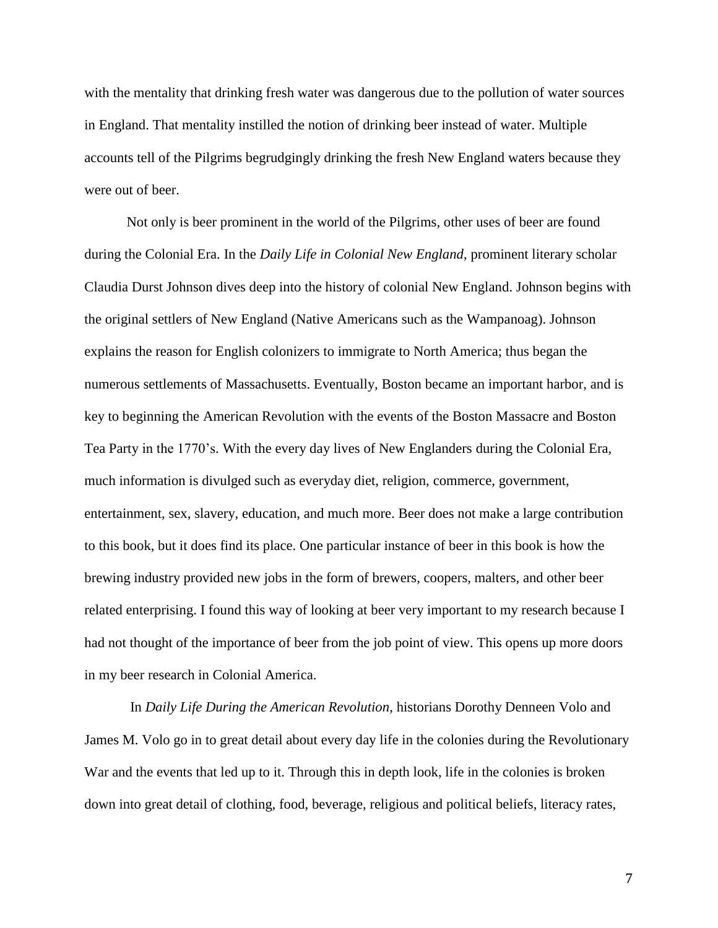with the mentality that drinking fresh water was dangerous due to the pollution of water sources in England. That mentality instilled the notion of drinking beer instead of water. Multiple accounts tell of the Pilgrims begrudgingly drinking the fresh New England waters because they were out of beer.

Not only is beer prominent in the world of the Pilgrims, other uses of beer are found during the Colonial Era. In the *Daily Life in Colonial New England*, prominent literary scholar Claudia Durst Johnson dives deep into the history of colonial New England. Johnson begins with the original settlers of New England (Native Americans such as the Wampanoag). Johnson explains the reason for English colonizers to immigrate to North America; thus began the numerous settlements of Massachusetts. Eventually, Boston became an important harbor, and is key to beginning the American Revolution with the events of the Boston Massacre and Boston Tea Party in the 1770's. With the every day lives of New Englanders during the Colonial Era, much information is divulged such as everyday diet, religion, commerce, government, entertainment, sex, slavery, education, and much more. Beer does not make a large contribution to this book, but it does find its place. One particular instance of beer in this book is how the brewing industry provided new jobs in the form of brewers, coopers, malters, and other beer related enterprising. I found this way of looking at beer very important to my research because I had not thought of the importance of beer from the job point of view. This opens up more doors in my beer research in Colonial America.

In *Daily Life During the American Revolution*, historians Dorothy Denneen Volo and James M. Volo go in to great detail about every day life in the colonies during the Revolutionary War and the events that led up to it. Through this in depth look, life in the colonies is broken down into great detail of clothing, food, beverage, religious and political beliefs, literacy rates,

7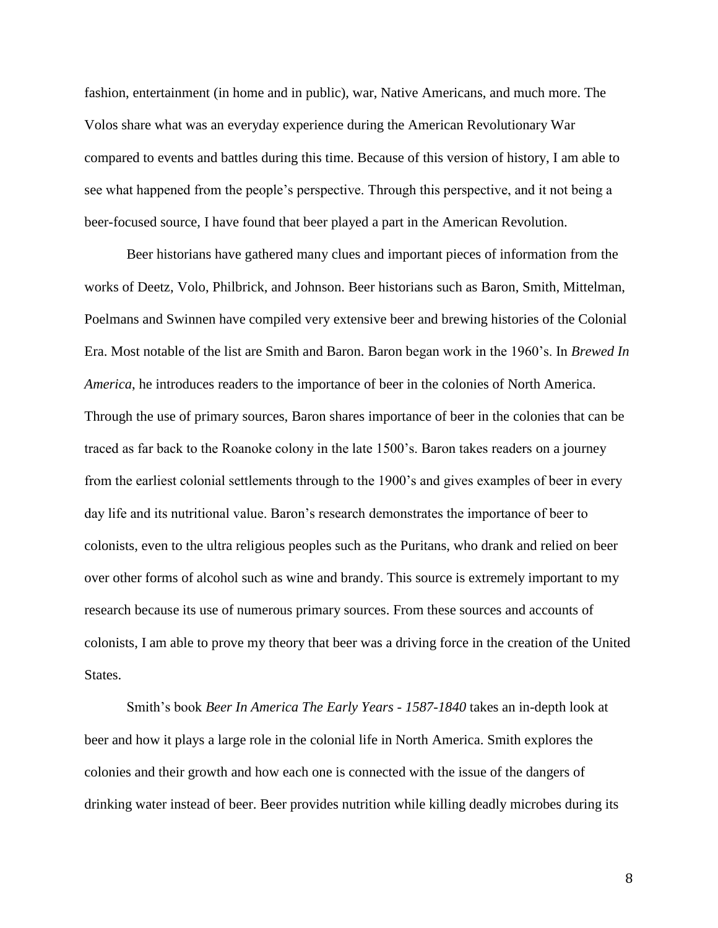fashion, entertainment (in home and in public), war, Native Americans, and much more. The Volos share what was an everyday experience during the American Revolutionary War compared to events and battles during this time. Because of this version of history, I am able to see what happened from the people's perspective. Through this perspective, and it not being a beer-focused source, I have found that beer played a part in the American Revolution.

Beer historians have gathered many clues and important pieces of information from the works of Deetz, Volo, Philbrick, and Johnson. Beer historians such as Baron, Smith, Mittelman, Poelmans and Swinnen have compiled very extensive beer and brewing histories of the Colonial Era. Most notable of the list are Smith and Baron. Baron began work in the 1960's. In *Brewed In America*, he introduces readers to the importance of beer in the colonies of North America. Through the use of primary sources, Baron shares importance of beer in the colonies that can be traced as far back to the Roanoke colony in the late 1500's. Baron takes readers on a journey from the earliest colonial settlements through to the 1900's and gives examples of beer in every day life and its nutritional value. Baron's research demonstrates the importance of beer to colonists, even to the ultra religious peoples such as the Puritans, who drank and relied on beer over other forms of alcohol such as wine and brandy. This source is extremely important to my research because its use of numerous primary sources. From these sources and accounts of colonists, I am able to prove my theory that beer was a driving force in the creation of the United States.

Smith's book *Beer In America The Early Years - 1587-1840* takes an in-depth look at beer and how it plays a large role in the colonial life in North America. Smith explores the colonies and their growth and how each one is connected with the issue of the dangers of drinking water instead of beer. Beer provides nutrition while killing deadly microbes during its

8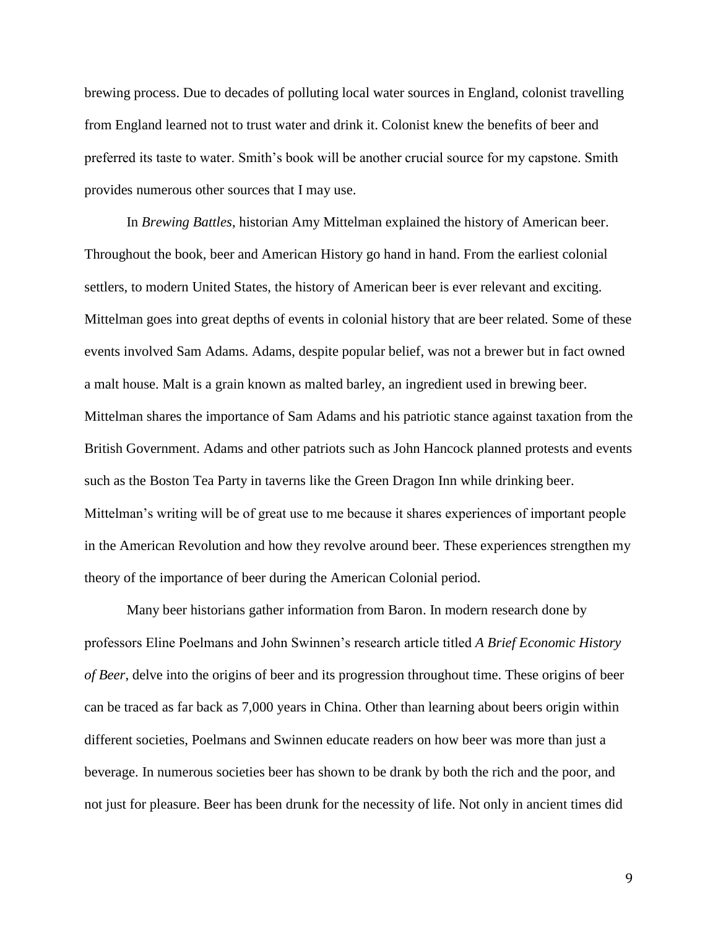brewing process. Due to decades of polluting local water sources in England, colonist travelling from England learned not to trust water and drink it. Colonist knew the benefits of beer and preferred its taste to water. Smith's book will be another crucial source for my capstone. Smith provides numerous other sources that I may use.

In *Brewing Battles*, historian Amy Mittelman explained the history of American beer. Throughout the book, beer and American History go hand in hand. From the earliest colonial settlers, to modern United States, the history of American beer is ever relevant and exciting. Mittelman goes into great depths of events in colonial history that are beer related. Some of these events involved Sam Adams. Adams, despite popular belief, was not a brewer but in fact owned a malt house. Malt is a grain known as malted barley, an ingredient used in brewing beer. Mittelman shares the importance of Sam Adams and his patriotic stance against taxation from the British Government. Adams and other patriots such as John Hancock planned protests and events such as the Boston Tea Party in taverns like the Green Dragon Inn while drinking beer. Mittelman's writing will be of great use to me because it shares experiences of important people in the American Revolution and how they revolve around beer. These experiences strengthen my theory of the importance of beer during the American Colonial period.

Many beer historians gather information from Baron. In modern research done by professors Eline Poelmans and John Swinnen's research article titled *A Brief Economic History of Beer*, delve into the origins of beer and its progression throughout time. These origins of beer can be traced as far back as 7,000 years in China. Other than learning about beers origin within different societies, Poelmans and Swinnen educate readers on how beer was more than just a beverage. In numerous societies beer has shown to be drank by both the rich and the poor, and not just for pleasure. Beer has been drunk for the necessity of life. Not only in ancient times did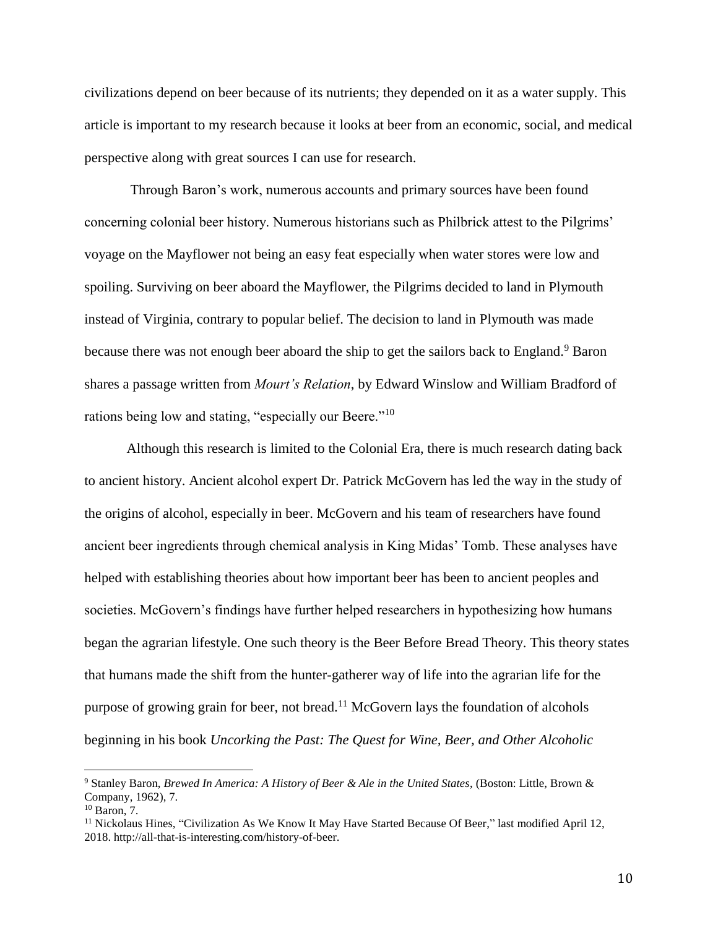civilizations depend on beer because of its nutrients; they depended on it as a water supply. This article is important to my research because it looks at beer from an economic, social, and medical perspective along with great sources I can use for research.

Through Baron's work, numerous accounts and primary sources have been found concerning colonial beer history. Numerous historians such as Philbrick attest to the Pilgrims' voyage on the Mayflower not being an easy feat especially when water stores were low and spoiling. Surviving on beer aboard the Mayflower, the Pilgrims decided to land in Plymouth instead of Virginia, contrary to popular belief. The decision to land in Plymouth was made because there was not enough beer aboard the ship to get the sailors back to England.<sup>9</sup> Baron shares a passage written from *Mourt's Relation*, by Edward Winslow and William Bradford of rations being low and stating, "especially our Beere."<sup>10</sup>

Although this research is limited to the Colonial Era, there is much research dating back to ancient history. Ancient alcohol expert Dr. Patrick McGovern has led the way in the study of the origins of alcohol, especially in beer. McGovern and his team of researchers have found ancient beer ingredients through chemical analysis in King Midas' Tomb. These analyses have helped with establishing theories about how important beer has been to ancient peoples and societies. McGovern's findings have further helped researchers in hypothesizing how humans began the agrarian lifestyle. One such theory is the Beer Before Bread Theory. This theory states that humans made the shift from the hunter-gatherer way of life into the agrarian life for the purpose of growing grain for beer, not bread.<sup>11</sup> McGovern lays the foundation of alcohols beginning in his book *Uncorking the Past: The Quest for Wine, Beer, and Other Alcoholic* 

<sup>9</sup> Stanley Baron, *Brewed In America: A History of Beer & Ale in the United States*, (Boston: Little, Brown & Company, 1962), 7.

<sup>10</sup> Baron, 7.

 $11$  Nickolaus Hines, "Civilization As We Know It May Have Started Because Of Beer," last modified April 12, 2018. http://all-that-is-interesting.com/history-of-beer.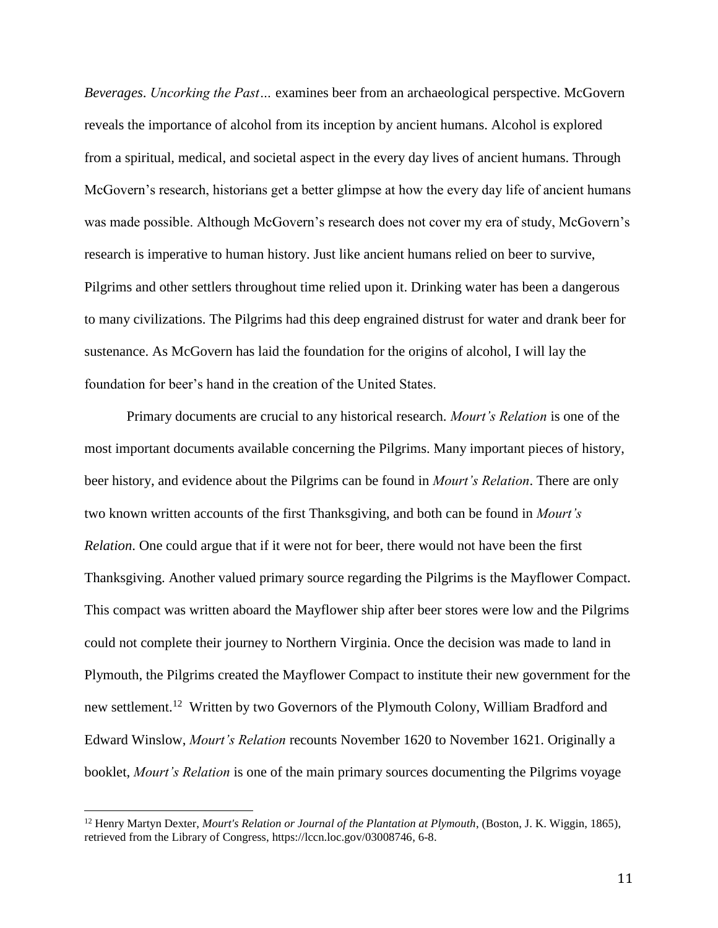*Beverages*. *Uncorking the Past…* examines beer from an archaeological perspective. McGovern reveals the importance of alcohol from its inception by ancient humans. Alcohol is explored from a spiritual, medical, and societal aspect in the every day lives of ancient humans. Through McGovern's research, historians get a better glimpse at how the every day life of ancient humans was made possible. Although McGovern's research does not cover my era of study, McGovern's research is imperative to human history. Just like ancient humans relied on beer to survive, Pilgrims and other settlers throughout time relied upon it. Drinking water has been a dangerous to many civilizations. The Pilgrims had this deep engrained distrust for water and drank beer for sustenance. As McGovern has laid the foundation for the origins of alcohol, I will lay the foundation for beer's hand in the creation of the United States.

Primary documents are crucial to any historical research. *Mourt's Relation* is one of the most important documents available concerning the Pilgrims. Many important pieces of history, beer history, and evidence about the Pilgrims can be found in *Mourt's Relation*. There are only two known written accounts of the first Thanksgiving, and both can be found in *Mourt's Relation*. One could argue that if it were not for beer, there would not have been the first Thanksgiving. Another valued primary source regarding the Pilgrims is the Mayflower Compact. This compact was written aboard the Mayflower ship after beer stores were low and the Pilgrims could not complete their journey to Northern Virginia. Once the decision was made to land in Plymouth, the Pilgrims created the Mayflower Compact to institute their new government for the new settlement.<sup>12</sup> Written by two Governors of the Plymouth Colony, William Bradford and Edward Winslow, *Mourt's Relation* recounts November 1620 to November 1621. Originally a booklet, *Mourt's Relation* is one of the main primary sources documenting the Pilgrims voyage

l

<sup>&</sup>lt;sup>12</sup> Henry Martyn Dexter, *Mourt's Relation or Journal of the Plantation at Plymouth*, (Boston, J. K. Wiggin, 1865), retrieved from the Library of Congress, https://lccn.loc.gov/03008746, 6-8.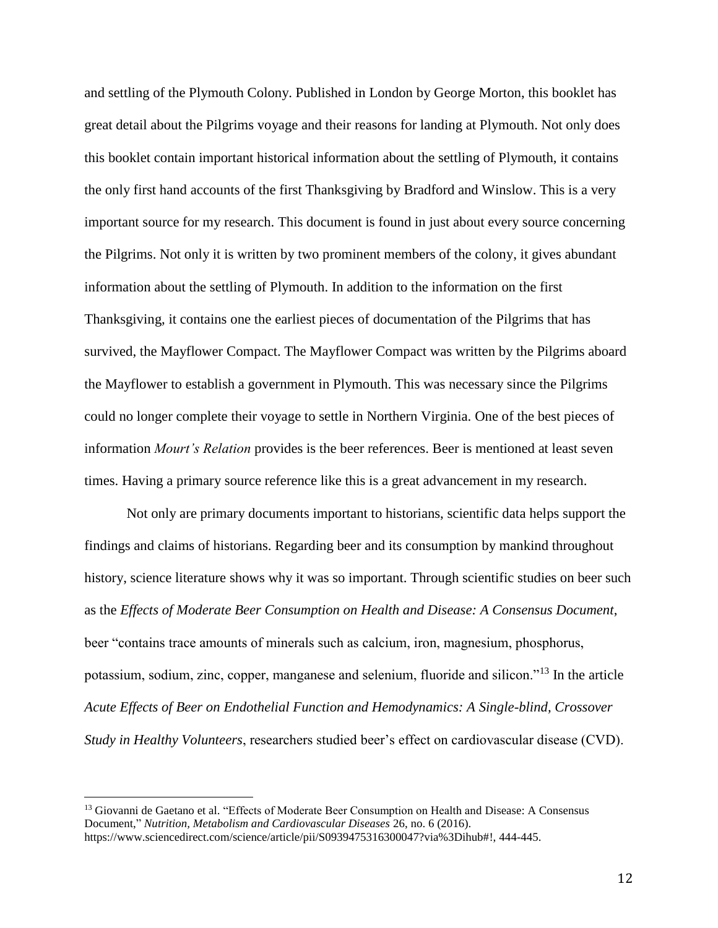and settling of the Plymouth Colony. Published in London by George Morton, this booklet has great detail about the Pilgrims voyage and their reasons for landing at Plymouth. Not only does this booklet contain important historical information about the settling of Plymouth, it contains the only first hand accounts of the first Thanksgiving by Bradford and Winslow. This is a very important source for my research. This document is found in just about every source concerning the Pilgrims. Not only it is written by two prominent members of the colony, it gives abundant information about the settling of Plymouth. In addition to the information on the first Thanksgiving, it contains one the earliest pieces of documentation of the Pilgrims that has survived, the Mayflower Compact. The Mayflower Compact was written by the Pilgrims aboard the Mayflower to establish a government in Plymouth. This was necessary since the Pilgrims could no longer complete their voyage to settle in Northern Virginia. One of the best pieces of information *Mourt's Relation* provides is the beer references. Beer is mentioned at least seven times. Having a primary source reference like this is a great advancement in my research.

Not only are primary documents important to historians, scientific data helps support the findings and claims of historians. Regarding beer and its consumption by mankind throughout history, science literature shows why it was so important. Through scientific studies on beer such as the *Effects of Moderate Beer Consumption on Health and Disease: A Consensus Document*, beer "contains trace amounts of minerals such as calcium, iron, magnesium, phosphorus, potassium, sodium, zinc, copper, manganese and selenium, fluoride and silicon."<sup>13</sup> In the article *Acute Effects of Beer on Endothelial Function and Hemodynamics: A Single-blind, Crossover Study in Healthy Volunteers*, researchers studied beer's effect on cardiovascular disease (CVD).

<sup>&</sup>lt;sup>13</sup> Giovanni de Gaetano et al. "Effects of Moderate Beer Consumption on Health and Disease: A Consensus Document," *Nutrition, Metabolism and Cardiovascular Diseases* 26, no. 6 (2016). https://www.sciencedirect.com/science/article/pii/S0939475316300047?via%3Dihub#!, 444-445.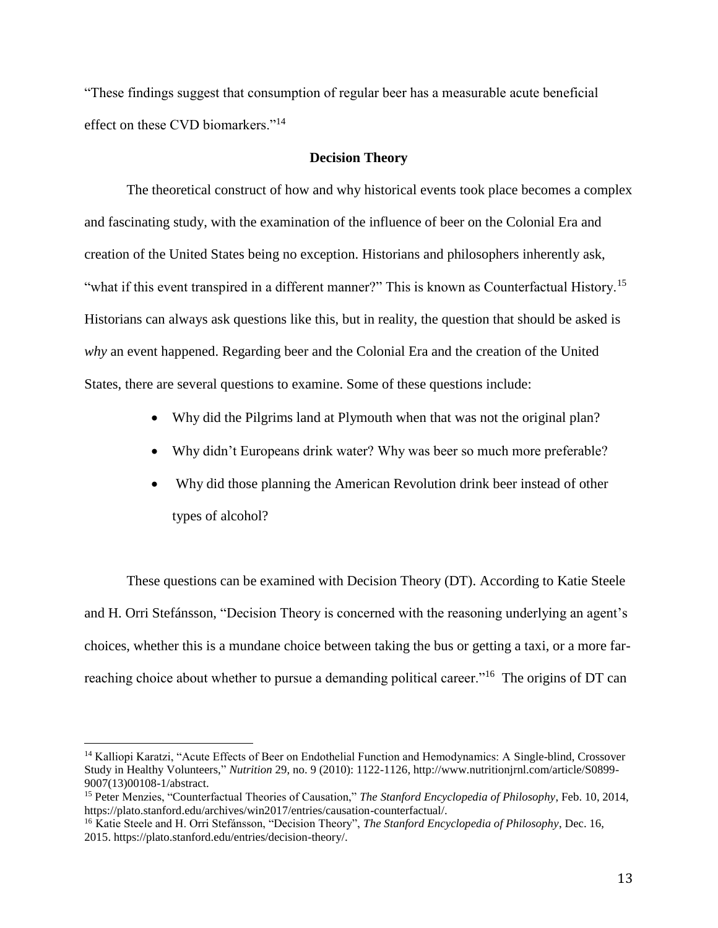"These findings suggest that consumption of regular beer has a measurable acute beneficial effect on these CVD biomarkers."<sup>14</sup>

#### **Decision Theory**

The theoretical construct of how and why historical events took place becomes a complex and fascinating study, with the examination of the influence of beer on the Colonial Era and creation of the United States being no exception. Historians and philosophers inherently ask, "what if this event transpired in a different manner?" This is known as Counterfactual History.<sup>15</sup> Historians can always ask questions like this, but in reality, the question that should be asked is *why* an event happened. Regarding beer and the Colonial Era and the creation of the United States, there are several questions to examine. Some of these questions include:

- Why did the Pilgrims land at Plymouth when that was not the original plan?
- Why didn't Europeans drink water? Why was beer so much more preferable?
- Why did those planning the American Revolution drink beer instead of other types of alcohol?

These questions can be examined with Decision Theory (DT). According to Katie Steele and H. Orri Stefánsson, "Decision Theory is concerned with the reasoning underlying an agent's choices, whether this is a mundane choice between taking the bus or getting a taxi, or a more farreaching choice about whether to pursue a demanding political career."<sup>16</sup> The origins of DT can

<sup>&</sup>lt;sup>14</sup> Kalliopi Karatzi, "Acute Effects of Beer on Endothelial Function and Hemodynamics: A Single-blind, Crossover Study in Healthy Volunteers," *Nutrition* 29, no. 9 (2010): 1122-1126, http://www.nutritionjrnl.com/article/S0899- 9007(13)00108-1/abstract.

<sup>15</sup> Peter Menzies, "Counterfactual Theories of Causation," *The Stanford Encyclopedia of Philosophy*, Feb. 10, 2014, https://plato.stanford.edu/archives/win2017/entries/causation-counterfactual/.

<sup>16</sup> Katie Steele and H. Orri Stefánsson, "Decision Theory", *The Stanford Encyclopedia of Philosophy*, Dec. 16, 2015. https://plato.stanford.edu/entries/decision-theory/.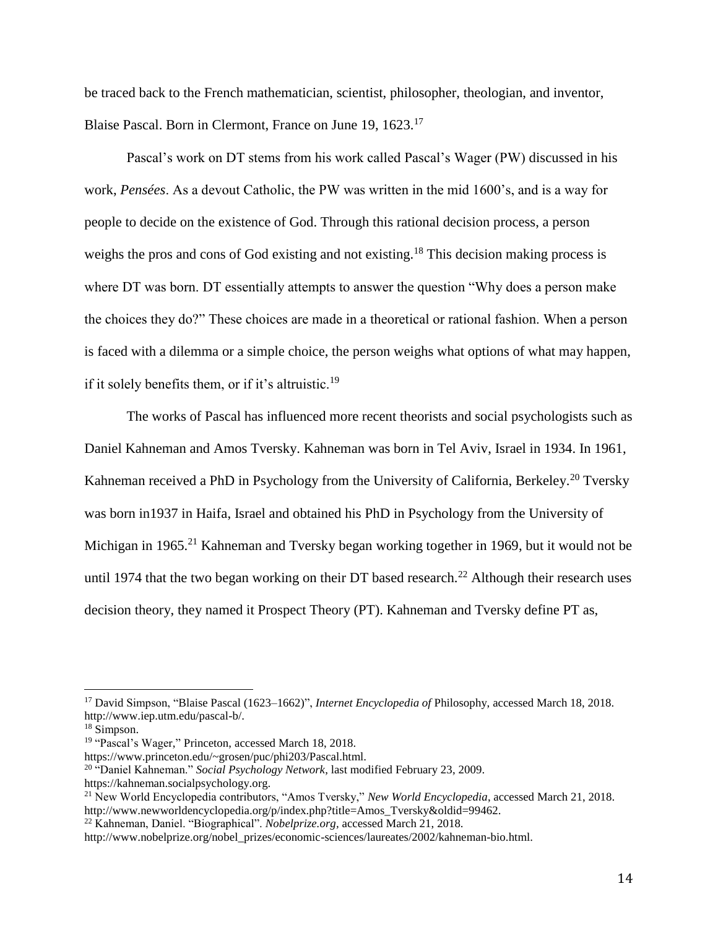be traced back to the French mathematician, scientist, philosopher, theologian, and inventor, Blaise Pascal. Born in Clermont, France on June 19, 1623.<sup>17</sup>

Pascal's work on DT stems from his work called Pascal's Wager (PW) discussed in his work, *Pensées*. As a devout Catholic, the PW was written in the mid 1600's, and is a way for people to decide on the existence of God. Through this rational decision process, a person weighs the pros and cons of God existing and not existing.<sup>18</sup> This decision making process is where DT was born. DT essentially attempts to answer the question "Why does a person make the choices they do?" These choices are made in a theoretical or rational fashion. When a person is faced with a dilemma or a simple choice, the person weighs what options of what may happen, if it solely benefits them, or if it's altruistic.<sup>19</sup>

The works of Pascal has influenced more recent theorists and social psychologists such as Daniel Kahneman and Amos Tversky. Kahneman was born in Tel Aviv, Israel in 1934. In 1961, Kahneman received a PhD in Psychology from the University of California, Berkeley.<sup>20</sup> Tversky was born in1937 in Haifa, Israel and obtained his PhD in Psychology from the University of Michigan in 1965.<sup>21</sup> Kahneman and Tversky began working together in 1969, but it would not be until 1974 that the two began working on their DT based research.<sup>22</sup> Although their research uses decision theory, they named it Prospect Theory (PT). Kahneman and Tversky define PT as,

 $\overline{a}$ 

<sup>22</sup> Kahneman, Daniel. "Biographical". *Nobelprize.org,* accessed March 21, 2018.

<sup>17</sup> David Simpson, "Blaise Pascal (1623–1662)", *Internet Encyclopedia of* Philosophy, accessed March 18, 2018. http://www.iep.utm.edu/pascal-b/.

 $18 \text{ Simpson.}$ 

<sup>&</sup>lt;sup>19</sup> "Pascal's Wager," Princeton, accessed March 18, 2018.

https://www.princeton.edu/~grosen/puc/phi203/Pascal.html.

<sup>20</sup> "Daniel Kahneman." *Social Psychology Network*, last modified February 23, 2009. https://kahneman.socialpsychology.org.

<sup>21</sup> New World Encyclopedia contributors, "Amos Tversky," *New World Encyclopedia*, accessed March 21, 2018. http://www.newworldencyclopedia.org/p/index.php?title=Amos\_Tversky&oldid=99462.

http://www.nobelprize.org/nobel\_prizes/economic-sciences/laureates/2002/kahneman-bio.html.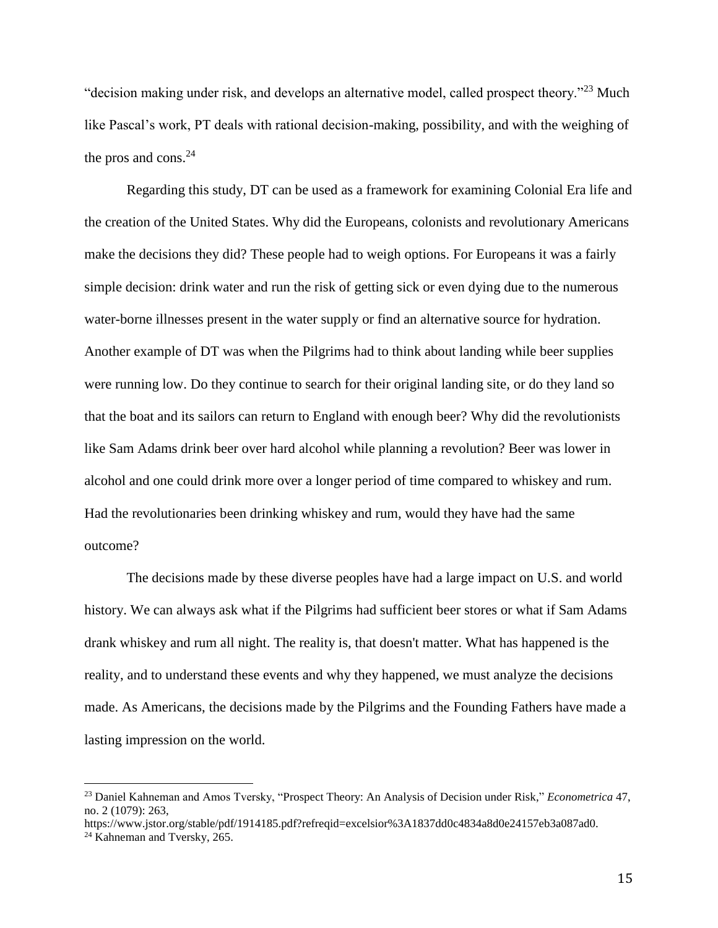"decision making under risk, and develops an alternative model, called prospect theory."<sup>23</sup> Much like Pascal's work, PT deals with rational decision-making, possibility, and with the weighing of the pros and cons. $24$ 

Regarding this study, DT can be used as a framework for examining Colonial Era life and the creation of the United States. Why did the Europeans, colonists and revolutionary Americans make the decisions they did? These people had to weigh options. For Europeans it was a fairly simple decision: drink water and run the risk of getting sick or even dying due to the numerous water-borne illnesses present in the water supply or find an alternative source for hydration. Another example of DT was when the Pilgrims had to think about landing while beer supplies were running low. Do they continue to search for their original landing site, or do they land so that the boat and its sailors can return to England with enough beer? Why did the revolutionists like Sam Adams drink beer over hard alcohol while planning a revolution? Beer was lower in alcohol and one could drink more over a longer period of time compared to whiskey and rum. Had the revolutionaries been drinking whiskey and rum, would they have had the same outcome?

The decisions made by these diverse peoples have had a large impact on U.S. and world history. We can always ask what if the Pilgrims had sufficient beer stores or what if Sam Adams drank whiskey and rum all night. The reality is, that doesn't matter. What has happened is the reality, and to understand these events and why they happened, we must analyze the decisions made. As Americans, the decisions made by the Pilgrims and the Founding Fathers have made a lasting impression on the world.

<sup>23</sup> Daniel Kahneman and Amos Tversky, "Prospect Theory: An Analysis of Decision under Risk," *Econometrica* 47, no. 2 (1079): 263,

https://www.jstor.org/stable/pdf/1914185.pdf?refreqid=excelsior%3A1837dd0c4834a8d0e24157eb3a087ad0.

<sup>24</sup> Kahneman and Tversky, 265.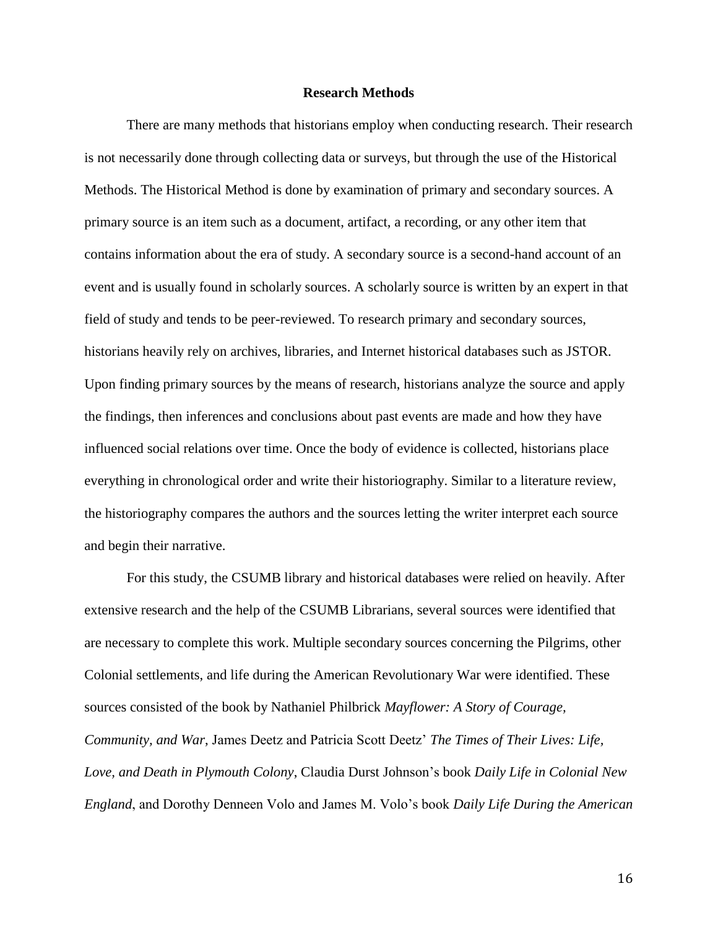#### **Research Methods**

There are many methods that historians employ when conducting research. Their research is not necessarily done through collecting data or surveys, but through the use of the Historical Methods. The Historical Method is done by examination of primary and secondary sources. A primary source is an item such as a document, artifact, a recording, or any other item that contains information about the era of study. A secondary source is a second-hand account of an event and is usually found in scholarly sources. A scholarly source is written by an expert in that field of study and tends to be peer-reviewed. To research primary and secondary sources, historians heavily rely on archives, libraries, and Internet historical databases such as JSTOR. Upon finding primary sources by the means of research, historians analyze the source and apply the findings, then inferences and conclusions about past events are made and how they have influenced social relations over time. Once the body of evidence is collected, historians place everything in chronological order and write their historiography. Similar to a literature review, the historiography compares the authors and the sources letting the writer interpret each source and begin their narrative.

For this study, the CSUMB library and historical databases were relied on heavily. After extensive research and the help of the CSUMB Librarians, several sources were identified that are necessary to complete this work. Multiple secondary sources concerning the Pilgrims, other Colonial settlements, and life during the American Revolutionary War were identified. These sources consisted of the book by Nathaniel Philbrick *Mayflower: A Story of Courage, Community, and War*, James Deetz and Patricia Scott Deetz' *The Times of Their Lives: Life, Love, and Death in Plymouth Colony*, Claudia Durst Johnson's book *Daily Life in Colonial New England*, and Dorothy Denneen Volo and James M. Volo's book *Daily Life During the American*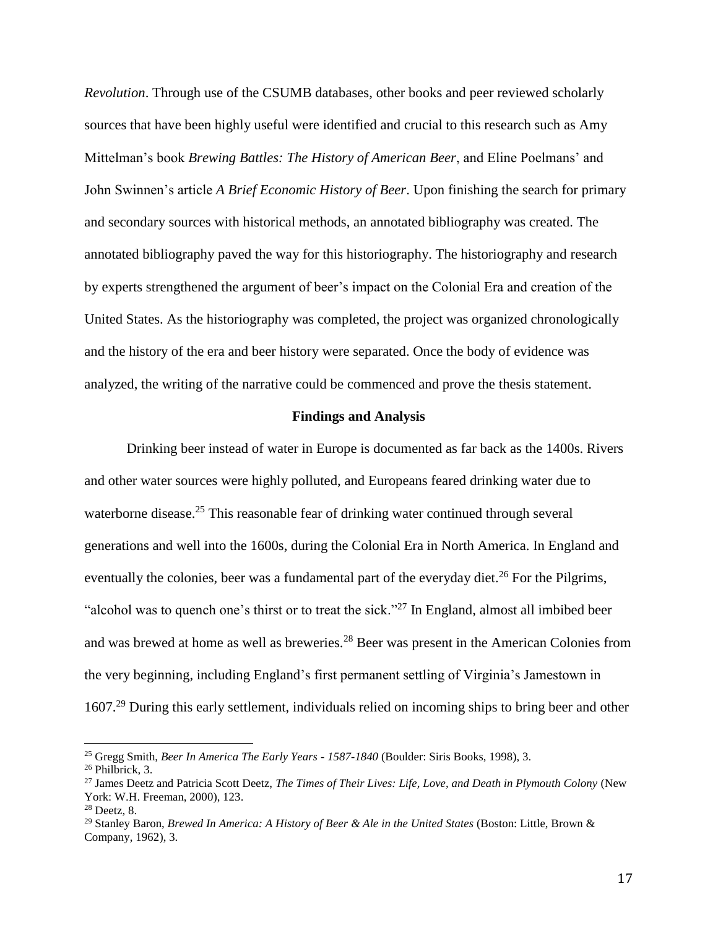*Revolution*. Through use of the CSUMB databases, other books and peer reviewed scholarly sources that have been highly useful were identified and crucial to this research such as Amy Mittelman's book *Brewing Battles: The History of American Beer*, and Eline Poelmans' and John Swinnen's article *A Brief Economic History of Beer*. Upon finishing the search for primary and secondary sources with historical methods, an annotated bibliography was created. The annotated bibliography paved the way for this historiography. The historiography and research by experts strengthened the argument of beer's impact on the Colonial Era and creation of the United States. As the historiography was completed, the project was organized chronologically and the history of the era and beer history were separated. Once the body of evidence was analyzed, the writing of the narrative could be commenced and prove the thesis statement.

#### **Findings and Analysis**

Drinking beer instead of water in Europe is documented as far back as the 1400s. Rivers and other water sources were highly polluted, and Europeans feared drinking water due to waterborne disease.<sup>25</sup> This reasonable fear of drinking water continued through several generations and well into the 1600s, during the Colonial Era in North America. In England and eventually the colonies, beer was a fundamental part of the everyday diet.<sup>26</sup> For the Pilgrims, "alcohol was to quench one's thirst or to treat the sick."<sup>27</sup> In England, almost all imbibed beer and was brewed at home as well as breweries.<sup>28</sup> Beer was present in the American Colonies from the very beginning, including England's first permanent settling of Virginia's Jamestown in 1607.<sup>29</sup> During this early settlement, individuals relied on incoming ships to bring beer and other

<sup>25</sup> Gregg Smith, *Beer In America The Early Years - 1587-1840* (Boulder: Siris Books, 1998), 3.

<sup>26</sup> Philbrick, 3.

<sup>27</sup> James Deetz and Patricia Scott Deetz, *The Times of Their Lives: Life, Love, and Death in Plymouth Colony* (New York: W.H. Freeman, 2000), 123.

<sup>28</sup> Deetz, 8.

<sup>29</sup> Stanley Baron, *Brewed In America: A History of Beer & Ale in the United States* (Boston: Little, Brown & Company, 1962), 3.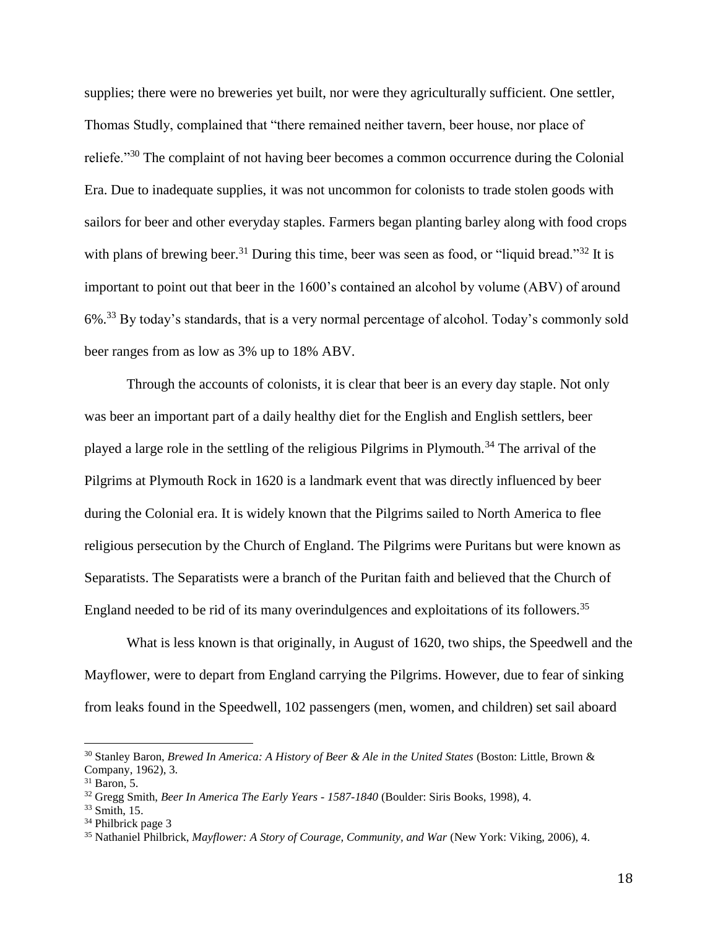supplies; there were no breweries yet built, nor were they agriculturally sufficient. One settler, Thomas Studly, complained that "there remained neither tavern, beer house, nor place of reliefe."<sup>30</sup> The complaint of not having beer becomes a common occurrence during the Colonial Era. Due to inadequate supplies, it was not uncommon for colonists to trade stolen goods with sailors for beer and other everyday staples. Farmers began planting barley along with food crops with plans of brewing beer.<sup>31</sup> During this time, beer was seen as food, or "liquid bread."<sup>32</sup> It is important to point out that beer in the 1600's contained an alcohol by volume (ABV) of around 6%.<sup>33</sup> By today's standards, that is a very normal percentage of alcohol. Today's commonly sold beer ranges from as low as 3% up to 18% ABV.

Through the accounts of colonists, it is clear that beer is an every day staple. Not only was beer an important part of a daily healthy diet for the English and English settlers, beer played a large role in the settling of the religious Pilgrims in Plymouth.<sup>34</sup> The arrival of the Pilgrims at Plymouth Rock in 1620 is a landmark event that was directly influenced by beer during the Colonial era. It is widely known that the Pilgrims sailed to North America to flee religious persecution by the Church of England. The Pilgrims were Puritans but were known as Separatists. The Separatists were a branch of the Puritan faith and believed that the Church of England needed to be rid of its many overindulgences and exploitations of its followers.<sup>35</sup>

What is less known is that originally, in August of 1620, two ships, the Speedwell and the Mayflower, were to depart from England carrying the Pilgrims. However, due to fear of sinking from leaks found in the Speedwell, 102 passengers (men, women, and children) set sail aboard

<sup>30</sup> Stanley Baron, *Brewed In America: A History of Beer & Ale in the United States* (Boston: Little, Brown & Company, 1962), 3.

 $31$  Baron, 5.

<sup>32</sup> Gregg Smith, *Beer In America The Early Years - 1587-1840* (Boulder: Siris Books, 1998), 4.

<sup>33</sup> Smith, 15.

<sup>&</sup>lt;sup>34</sup> Philbrick page 3

<sup>35</sup> Nathaniel Philbrick, *Mayflower: A Story of Courage, Community, and War* (New York: Viking, 2006), 4.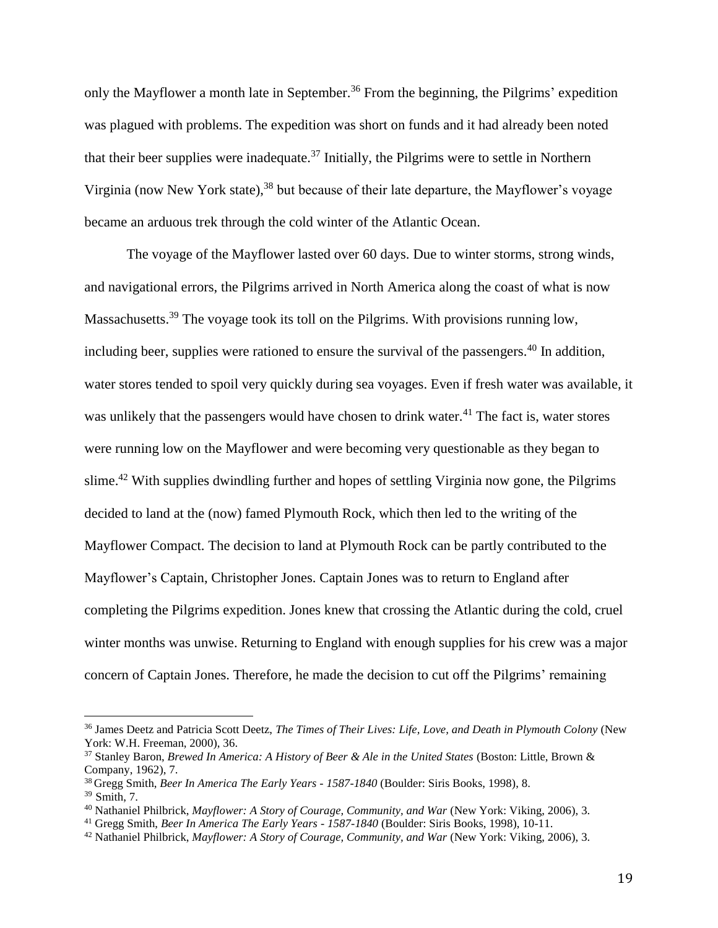only the Mayflower a month late in September.<sup>36</sup> From the beginning, the Pilgrims' expedition was plagued with problems. The expedition was short on funds and it had already been noted that their beer supplies were inadequate.<sup>37</sup> Initially, the Pilgrims were to settle in Northern Virginia (now New York state),<sup>38</sup> but because of their late departure, the Mayflower's voyage became an arduous trek through the cold winter of the Atlantic Ocean.

The voyage of the Mayflower lasted over 60 days. Due to winter storms, strong winds, and navigational errors, the Pilgrims arrived in North America along the coast of what is now Massachusetts.<sup>39</sup> The voyage took its toll on the Pilgrims. With provisions running low, including beer, supplies were rationed to ensure the survival of the passengers.<sup>40</sup> In addition, water stores tended to spoil very quickly during sea voyages. Even if fresh water was available, it was unlikely that the passengers would have chosen to drink water.<sup>41</sup> The fact is, water stores were running low on the Mayflower and were becoming very questionable as they began to slime.<sup>42</sup> With supplies dwindling further and hopes of settling Virginia now gone, the Pilgrims decided to land at the (now) famed Plymouth Rock, which then led to the writing of the Mayflower Compact. The decision to land at Plymouth Rock can be partly contributed to the Mayflower's Captain, Christopher Jones. Captain Jones was to return to England after completing the Pilgrims expedition. Jones knew that crossing the Atlantic during the cold, cruel winter months was unwise. Returning to England with enough supplies for his crew was a major concern of Captain Jones. Therefore, he made the decision to cut off the Pilgrims' remaining

<sup>36</sup> James Deetz and Patricia Scott Deetz, *The Times of Their Lives: Life, Love, and Death in Plymouth Colony* (New York: W.H. Freeman, 2000), 36.

<sup>37</sup> Stanley Baron, *Brewed In America: A History of Beer & Ale in the United States* (Boston: Little, Brown & Company, 1962), 7.

<sup>38</sup> Gregg Smith, *Beer In America The Early Years - 1587-1840* (Boulder: Siris Books, 1998), 8.  $39$  Smith, 7.

<sup>40</sup> Nathaniel Philbrick, *Mayflower: A Story of Courage, Community, and War* (New York: Viking, 2006), 3.

<sup>41</sup> Gregg Smith, *Beer In America The Early Years - 1587-1840* (Boulder: Siris Books, 1998), 10-11.

<sup>42</sup> Nathaniel Philbrick, *Mayflower: A Story of Courage, Community, and War* (New York: Viking, 2006), 3.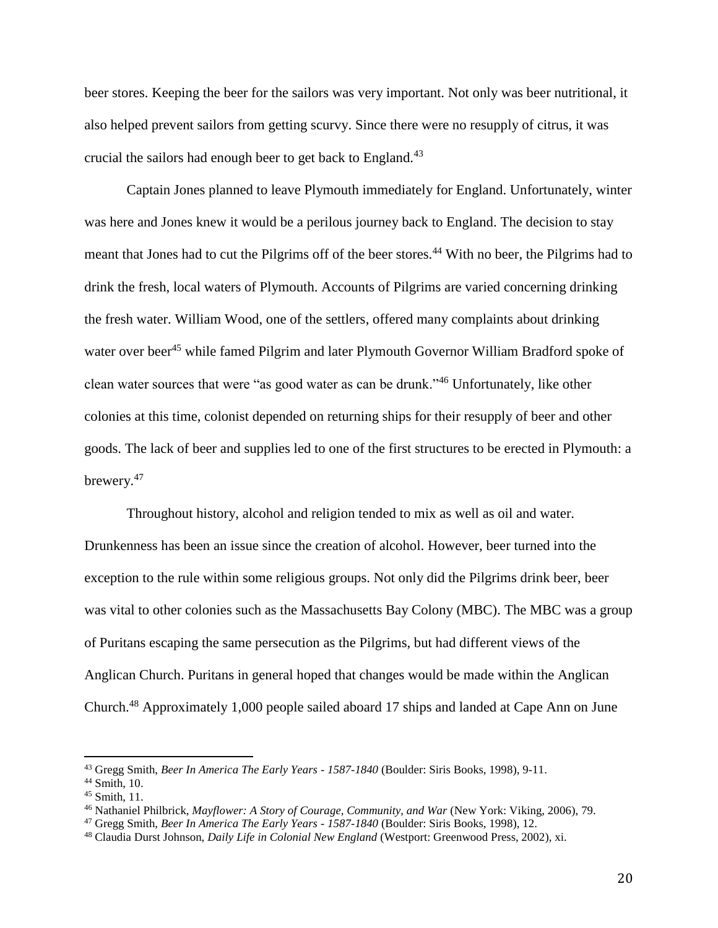beer stores. Keeping the beer for the sailors was very important. Not only was beer nutritional, it also helped prevent sailors from getting scurvy. Since there were no resupply of citrus, it was crucial the sailors had enough beer to get back to England.<sup>43</sup>

Captain Jones planned to leave Plymouth immediately for England. Unfortunately, winter was here and Jones knew it would be a perilous journey back to England. The decision to stay meant that Jones had to cut the Pilgrims off of the beer stores.<sup>44</sup> With no beer, the Pilgrims had to drink the fresh, local waters of Plymouth. Accounts of Pilgrims are varied concerning drinking the fresh water. William Wood, one of the settlers, offered many complaints about drinking water over beer<sup>45</sup> while famed Pilgrim and later Plymouth Governor William Bradford spoke of clean water sources that were "as good water as can be drunk."<sup>46</sup> Unfortunately, like other colonies at this time, colonist depended on returning ships for their resupply of beer and other goods. The lack of beer and supplies led to one of the first structures to be erected in Plymouth: a brewery.<sup>47</sup>

Throughout history, alcohol and religion tended to mix as well as oil and water. Drunkenness has been an issue since the creation of alcohol. However, beer turned into the exception to the rule within some religious groups. Not only did the Pilgrims drink beer, beer was vital to other colonies such as the Massachusetts Bay Colony (MBC). The MBC was a group of Puritans escaping the same persecution as the Pilgrims, but had different views of the Anglican Church. Puritans in general hoped that changes would be made within the Anglican Church.<sup>48</sup> Approximately 1,000 people sailed aboard 17 ships and landed at Cape Ann on June

<sup>43</sup> Gregg Smith, *Beer In America The Early Years - 1587-1840* (Boulder: Siris Books, 1998), 9-11.

 $44$  Smith, 10.

 $45$  Smith, 11.

<sup>46</sup> Nathaniel Philbrick, *Mayflower: A Story of Courage, Community, and War* (New York: Viking, 2006), 79.

<sup>47</sup> Gregg Smith, *Beer In America The Early Years - 1587-1840* (Boulder: Siris Books, 1998), 12.

<sup>48</sup> Claudia Durst Johnson, *Daily Life in Colonial New England* (Westport: Greenwood Press, 2002), xi.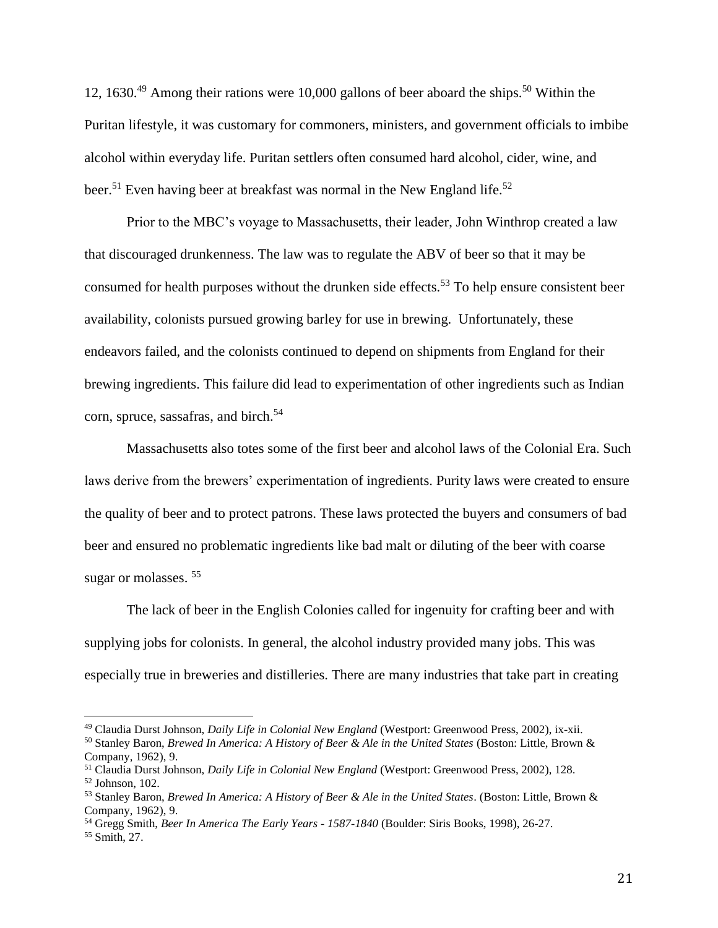12, 1630.<sup>49</sup> Among their rations were 10,000 gallons of beer aboard the ships.<sup>50</sup> Within the Puritan lifestyle, it was customary for commoners, ministers, and government officials to imbibe alcohol within everyday life. Puritan settlers often consumed hard alcohol, cider, wine, and beer.<sup>51</sup> Even having beer at breakfast was normal in the New England life.<sup>52</sup>

Prior to the MBC's voyage to Massachusetts, their leader, John Winthrop created a law that discouraged drunkenness. The law was to regulate the ABV of beer so that it may be consumed for health purposes without the drunken side effects.<sup>53</sup> To help ensure consistent beer availability, colonists pursued growing barley for use in brewing. Unfortunately, these endeavors failed, and the colonists continued to depend on shipments from England for their brewing ingredients. This failure did lead to experimentation of other ingredients such as Indian corn, spruce, sassafras, and birch.<sup>54</sup>

Massachusetts also totes some of the first beer and alcohol laws of the Colonial Era. Such laws derive from the brewers' experimentation of ingredients. Purity laws were created to ensure the quality of beer and to protect patrons. These laws protected the buyers and consumers of bad beer and ensured no problematic ingredients like bad malt or diluting of the beer with coarse sugar or molasses.<sup>55</sup>

The lack of beer in the English Colonies called for ingenuity for crafting beer and with supplying jobs for colonists. In general, the alcohol industry provided many jobs. This was especially true in breweries and distilleries. There are many industries that take part in creating

<sup>49</sup> Claudia Durst Johnson, *Daily Life in Colonial New England* (Westport: Greenwood Press, 2002), ix-xii.

<sup>50</sup> Stanley Baron, *Brewed In America: A History of Beer & Ale in the United States* (Boston: Little, Brown & Company, 1962), 9.

<sup>51</sup> Claudia Durst Johnson, *Daily Life in Colonial New England* (Westport: Greenwood Press, 2002), 128.

<sup>52</sup> Johnson, 102.

<sup>53</sup> Stanley Baron, *Brewed In America: A History of Beer & Ale in the United States*. (Boston: Little, Brown & Company, 1962), 9.

<sup>54</sup> Gregg Smith, *Beer In America The Early Years - 1587-1840* (Boulder: Siris Books, 1998), 26-27.

<sup>55</sup> Smith, 27.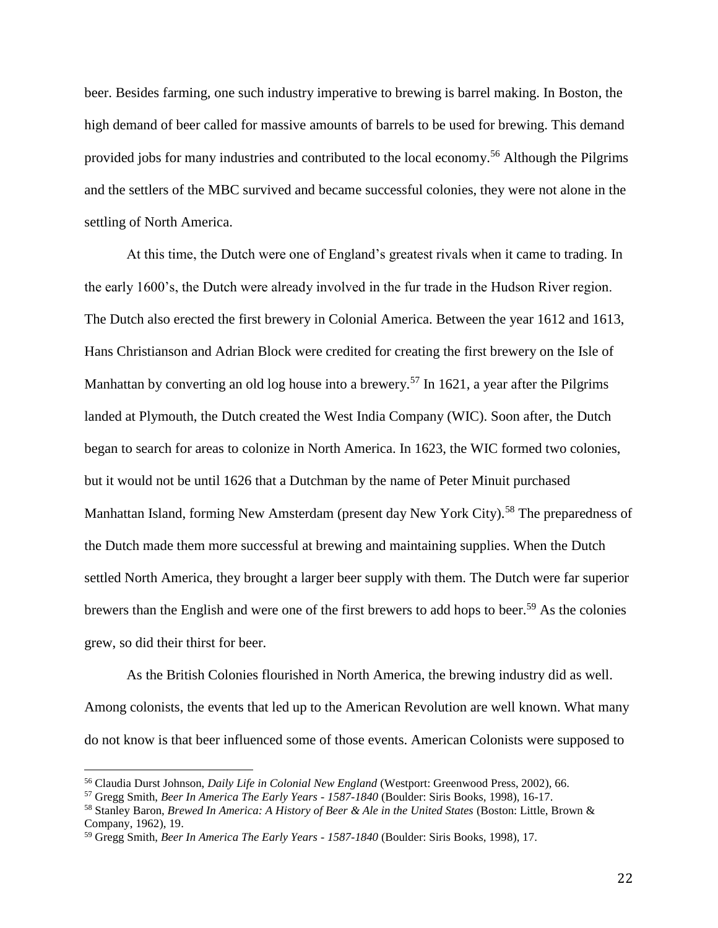beer. Besides farming, one such industry imperative to brewing is barrel making. In Boston, the high demand of beer called for massive amounts of barrels to be used for brewing. This demand provided jobs for many industries and contributed to the local economy.<sup>56</sup> Although the Pilgrims and the settlers of the MBC survived and became successful colonies, they were not alone in the settling of North America.

At this time, the Dutch were one of England's greatest rivals when it came to trading. In the early 1600's, the Dutch were already involved in the fur trade in the Hudson River region. The Dutch also erected the first brewery in Colonial America. Between the year 1612 and 1613, Hans Christianson and Adrian Block were credited for creating the first brewery on the Isle of Manhattan by converting an old log house into a brewery.<sup>57</sup> In 1621, a year after the Pilgrims landed at Plymouth, the Dutch created the West India Company (WIC). Soon after, the Dutch began to search for areas to colonize in North America. In 1623, the WIC formed two colonies, but it would not be until 1626 that a Dutchman by the name of Peter Minuit purchased Manhattan Island, forming New Amsterdam (present day New York City).<sup>58</sup> The preparedness of the Dutch made them more successful at brewing and maintaining supplies. When the Dutch settled North America, they brought a larger beer supply with them. The Dutch were far superior brewers than the English and were one of the first brewers to add hops to beer.<sup>59</sup> As the colonies grew, so did their thirst for beer.

As the British Colonies flourished in North America, the brewing industry did as well. Among colonists, the events that led up to the American Revolution are well known. What many do not know is that beer influenced some of those events. American Colonists were supposed to

<sup>56</sup> Claudia Durst Johnson, *Daily Life in Colonial New England* (Westport: Greenwood Press, 2002), 66.

<sup>57</sup> Gregg Smith, *Beer In America The Early Years - 1587-1840* (Boulder: Siris Books, 1998), 16-17.

<sup>58</sup> Stanley Baron, *Brewed In America: A History of Beer & Ale in the United States* (Boston: Little, Brown & Company, 1962), 19.

<sup>59</sup> Gregg Smith, *Beer In America The Early Years - 1587-1840* (Boulder: Siris Books, 1998), 17.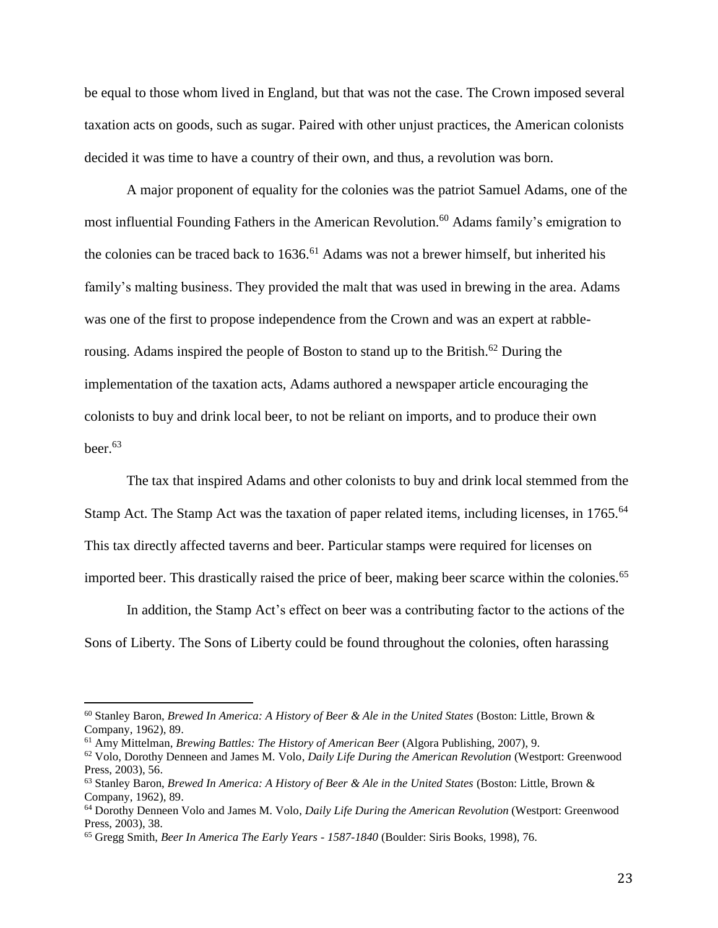be equal to those whom lived in England, but that was not the case. The Crown imposed several taxation acts on goods, such as sugar. Paired with other unjust practices, the American colonists decided it was time to have a country of their own, and thus, a revolution was born.

A major proponent of equality for the colonies was the patriot Samuel Adams, one of the most influential Founding Fathers in the American Revolution.<sup>60</sup> Adams family's emigration to the colonies can be traced back to 1636.<sup>61</sup> Adams was not a brewer himself, but inherited his family's malting business. They provided the malt that was used in brewing in the area. Adams was one of the first to propose independence from the Crown and was an expert at rabblerousing. Adams inspired the people of Boston to stand up to the British.<sup>62</sup> During the implementation of the taxation acts, Adams authored a newspaper article encouraging the colonists to buy and drink local beer, to not be reliant on imports, and to produce their own beer. $63$ 

The tax that inspired Adams and other colonists to buy and drink local stemmed from the Stamp Act. The Stamp Act was the taxation of paper related items, including licenses, in 1765.<sup>64</sup> This tax directly affected taverns and beer. Particular stamps were required for licenses on imported beer. This drastically raised the price of beer, making beer scarce within the colonies.<sup>65</sup>

In addition, the Stamp Act's effect on beer was a contributing factor to the actions of the Sons of Liberty. The Sons of Liberty could be found throughout the colonies, often harassing

<sup>60</sup> Stanley Baron, *Brewed In America: A History of Beer & Ale in the United States* (Boston: Little, Brown & Company, 1962), 89.

<sup>61</sup> Amy Mittelman, *Brewing Battles: The History of American Beer* (Algora Publishing, 2007), 9.

<sup>62</sup> Volo, Dorothy Denneen and James M. Volo, *Daily Life During the American Revolution* (Westport: Greenwood Press, 2003), 56.

<sup>63</sup> Stanley Baron, *Brewed In America: A History of Beer & Ale in the United States* (Boston: Little, Brown & Company, 1962), 89.

<sup>64</sup> Dorothy Denneen Volo and James M. Volo, *Daily Life During the American Revolution* (Westport: Greenwood Press, 2003), 38.

<sup>65</sup> Gregg Smith, *Beer In America The Early Years - 1587-1840* (Boulder: Siris Books, 1998), 76.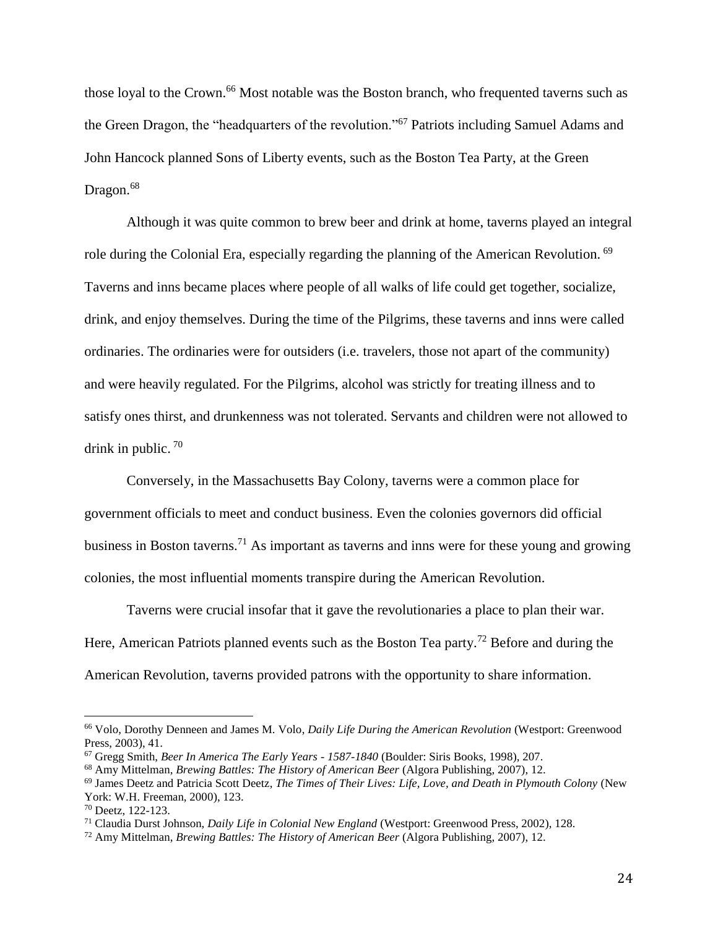those loyal to the Crown.<sup>66</sup> Most notable was the Boston branch, who frequented taverns such as the Green Dragon, the "headquarters of the revolution."<sup>67</sup> Patriots including Samuel Adams and John Hancock planned Sons of Liberty events, such as the Boston Tea Party, at the Green Dragon.<sup>68</sup>

Although it was quite common to brew beer and drink at home, taverns played an integral role during the Colonial Era, especially regarding the planning of the American Revolution. <sup>69</sup> Taverns and inns became places where people of all walks of life could get together, socialize, drink, and enjoy themselves. During the time of the Pilgrims, these taverns and inns were called ordinaries. The ordinaries were for outsiders (i.e. travelers, those not apart of the community) and were heavily regulated. For the Pilgrims, alcohol was strictly for treating illness and to satisfy ones thirst, and drunkenness was not tolerated. Servants and children were not allowed to drink in public. <sup>70</sup>

Conversely, in the Massachusetts Bay Colony, taverns were a common place for government officials to meet and conduct business. Even the colonies governors did official business in Boston taverns.<sup>71</sup> As important as taverns and inns were for these young and growing colonies, the most influential moments transpire during the American Revolution.

Taverns were crucial insofar that it gave the revolutionaries a place to plan their war. Here, American Patriots planned events such as the Boston Tea party.<sup>72</sup> Before and during the American Revolution, taverns provided patrons with the opportunity to share information.

<sup>66</sup> Volo, Dorothy Denneen and James M. Volo, *Daily Life During the American Revolution* (Westport: Greenwood Press, 2003), 41.

<sup>67</sup> Gregg Smith, *Beer In America The Early Years - 1587-1840* (Boulder: Siris Books, 1998), 207.

<sup>68</sup> Amy Mittelman, *Brewing Battles: The History of American Beer* (Algora Publishing, 2007), 12.

<sup>69</sup> James Deetz and Patricia Scott Deetz, *The Times of Their Lives: Life, Love, and Death in Plymouth Colony* (New York: W.H. Freeman, 2000), 123.

<sup>70</sup> Deetz, 122-123.

<sup>71</sup> Claudia Durst Johnson, *Daily Life in Colonial New England* (Westport: Greenwood Press, 2002), 128.

<sup>72</sup> Amy Mittelman, *Brewing Battles: The History of American Beer* (Algora Publishing, 2007), 12.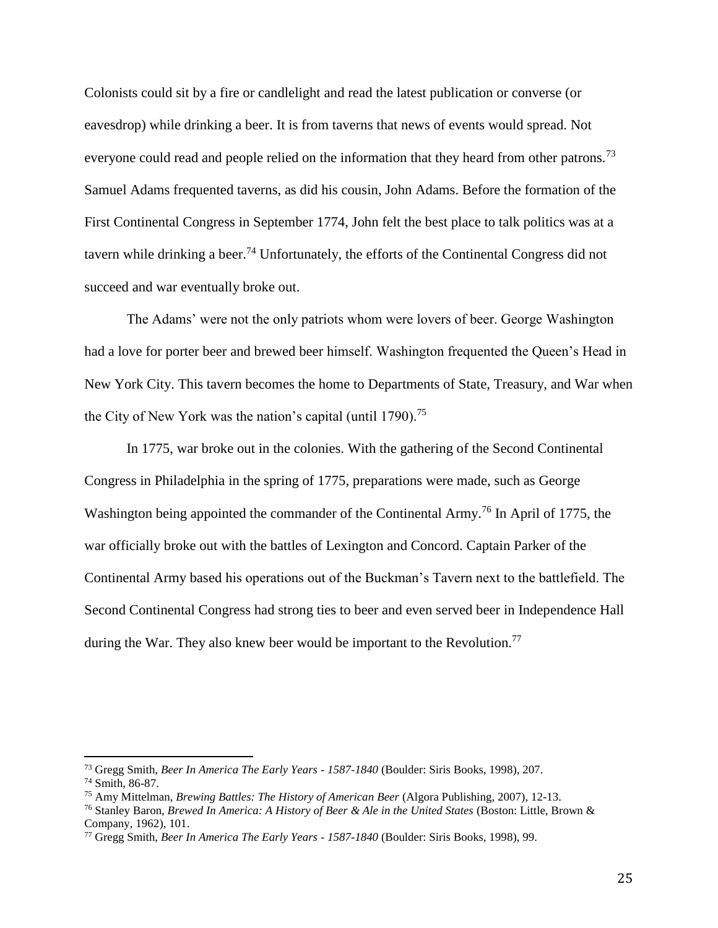Colonists could sit by a fire or candlelight and read the latest publication or converse (or eavesdrop) while drinking a beer. It is from taverns that news of events would spread. Not everyone could read and people relied on the information that they heard from other patrons.<sup>73</sup> Samuel Adams frequented taverns, as did his cousin, John Adams. Before the formation of the First Continental Congress in September 1774, John felt the best place to talk politics was at a tavern while drinking a beer.<sup>74</sup> Unfortunately, the efforts of the Continental Congress did not succeed and war eventually broke out.

The Adams' were not the only patriots whom were lovers of beer. George Washington had a love for porter beer and brewed beer himself. Washington frequented the Queen's Head in New York City. This tavern becomes the home to Departments of State, Treasury, and War when the City of New York was the nation's capital (until  $1790$ ).<sup>75</sup>

In 1775, war broke out in the colonies. With the gathering of the Second Continental Congress in Philadelphia in the spring of 1775, preparations were made, such as George Washington being appointed the commander of the Continental Army.<sup>76</sup> In April of 1775, the war officially broke out with the battles of Lexington and Concord. Captain Parker of the Continental Army based his operations out of the Buckman's Tavern next to the battlefield. The Second Continental Congress had strong ties to beer and even served beer in Independence Hall during the War. They also knew beer would be important to the Revolution.<sup>77</sup>

<sup>73</sup> Gregg Smith, *Beer In America The Early Years - 1587-1840* (Boulder: Siris Books, 1998), 207.

<sup>74</sup> Smith, 86-87.

<sup>75</sup> Amy Mittelman, *Brewing Battles: The History of American Beer* (Algora Publishing, 2007), 12-13.

<sup>76</sup> Stanley Baron, *Brewed In America: A History of Beer & Ale in the United States* (Boston: Little, Brown & Company, 1962), 101.

<sup>77</sup> Gregg Smith, *Beer In America The Early Years - 1587-1840* (Boulder: Siris Books, 1998), 99.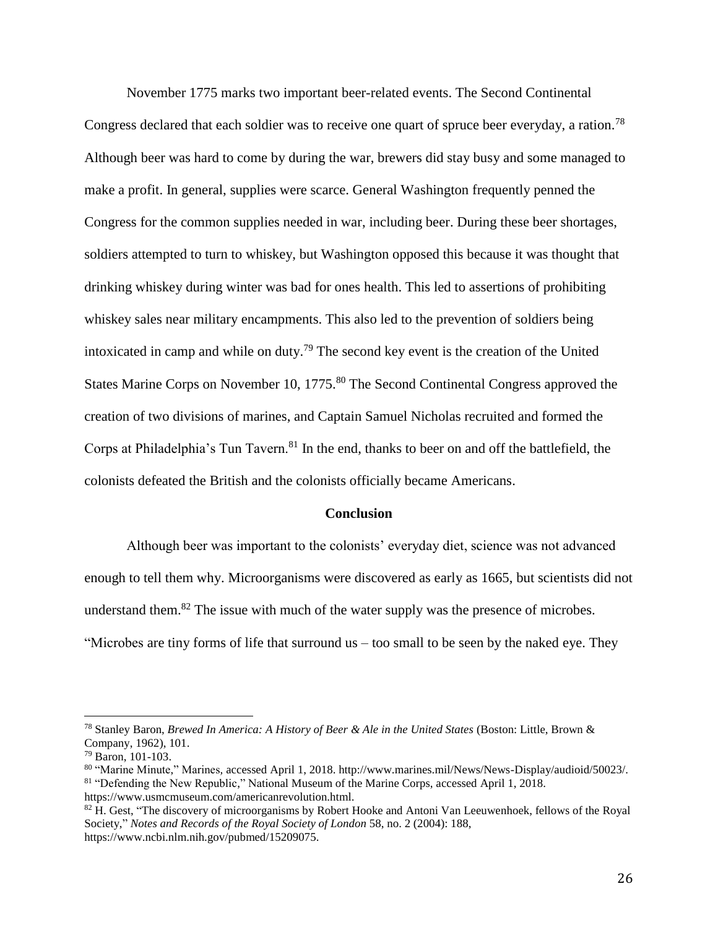November 1775 marks two important beer-related events. The Second Continental Congress declared that each soldier was to receive one quart of spruce beer everyday, a ration.<sup>78</sup> Although beer was hard to come by during the war, brewers did stay busy and some managed to make a profit. In general, supplies were scarce. General Washington frequently penned the Congress for the common supplies needed in war, including beer. During these beer shortages, soldiers attempted to turn to whiskey, but Washington opposed this because it was thought that drinking whiskey during winter was bad for ones health. This led to assertions of prohibiting whiskey sales near military encampments. This also led to the prevention of soldiers being intoxicated in camp and while on duty.<sup>79</sup> The second key event is the creation of the United States Marine Corps on November 10, 1775.<sup>80</sup> The Second Continental Congress approved the creation of two divisions of marines, and Captain Samuel Nicholas recruited and formed the Corps at Philadelphia's Tun Tavern.<sup>81</sup> In the end, thanks to beer on and off the battlefield, the colonists defeated the British and the colonists officially became Americans.

#### **Conclusion**

Although beer was important to the colonists' everyday diet, science was not advanced enough to tell them why. Microorganisms were discovered as early as 1665, but scientists did not understand them.<sup>82</sup> The issue with much of the water supply was the presence of microbes. "Microbes are tiny forms of life that surround us – too small to be seen by the naked eye. They

<sup>78</sup> Stanley Baron, *Brewed In America: A History of Beer & Ale in the United States* (Boston: Little, Brown & Company, 1962), 101.

<sup>79</sup> Baron, 101-103.

<sup>80</sup> "Marine Minute," Marines*,* accessed April 1, 2018. http://www.marines.mil/News/News-Display/audioid/50023/. <sup>81</sup> "Defending the New Republic," National Museum of the Marine Corps, accessed April 1, 2018. https://www.usmcmuseum.com/americanrevolution.html.

<sup>&</sup>lt;sup>82</sup> H. Gest, "The discovery of microorganisms by Robert Hooke and Antoni Van Leeuwenhoek, fellows of the Royal Society," *Notes and Records of the Royal Society of London* 58, no. 2 (2004): 188, https://www.ncbi.nlm.nih.gov/pubmed/15209075.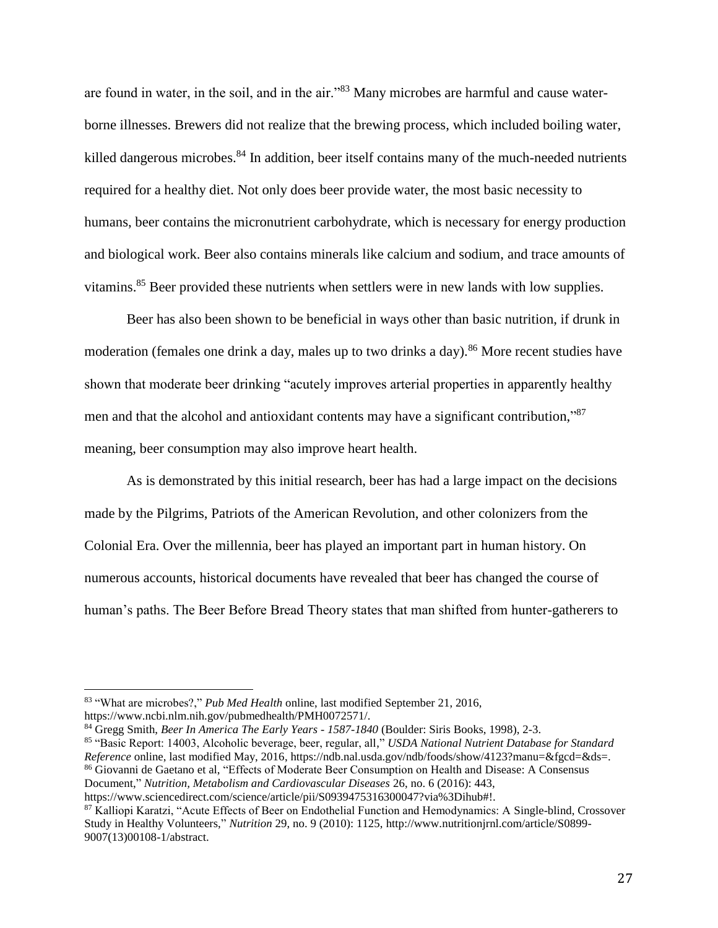are found in water, in the soil, and in the air."<sup>83</sup> Many microbes are harmful and cause waterborne illnesses. Brewers did not realize that the brewing process, which included boiling water, killed dangerous microbes.<sup>84</sup> In addition, beer itself contains many of the much-needed nutrients required for a healthy diet. Not only does beer provide water, the most basic necessity to humans, beer contains the micronutrient carbohydrate, which is necessary for energy production and biological work. Beer also contains minerals like calcium and sodium, and trace amounts of vitamins.<sup>85</sup> Beer provided these nutrients when settlers were in new lands with low supplies.

Beer has also been shown to be beneficial in ways other than basic nutrition, if drunk in moderation (females one drink a day, males up to two drinks a day).<sup>86</sup> More recent studies have shown that moderate beer drinking "acutely improves arterial properties in apparently healthy men and that the alcohol and antioxidant contents may have a significant contribution,"<sup>87</sup> meaning, beer consumption may also improve heart health.

As is demonstrated by this initial research, beer has had a large impact on the decisions made by the Pilgrims, Patriots of the American Revolution, and other colonizers from the Colonial Era. Over the millennia, beer has played an important part in human history. On numerous accounts, historical documents have revealed that beer has changed the course of human's paths. The Beer Before Bread Theory states that man shifted from hunter-gatherers to

<sup>83</sup> "What are microbes?," *Pub Med Health* online, last modified September 21, 2016, https://www.ncbi.nlm.nih.gov/pubmedhealth/PMH0072571/.

<sup>84</sup> Gregg Smith, *Beer In America The Early Years - 1587-1840* (Boulder: Siris Books, 1998), 2-3.

<sup>85</sup> "Basic Report: 14003, Alcoholic beverage, beer, regular, all," *USDA National Nutrient Database for Standard Reference* online, last modified May, 2016, https://ndb.nal.usda.gov/ndb/foods/show/4123?manu=&fgcd=&ds=. <sup>86</sup> Giovanni de Gaetano et al, "Effects of Moderate Beer Consumption on Health and Disease: A Consensus Document," *Nutrition, Metabolism and Cardiovascular Diseases* 26, no. 6 (2016): 443,

https://www.sciencedirect.com/science/article/pii/S0939475316300047?via%3Dihub#!.

<sup>87</sup> Kalliopi Karatzi, "Acute Effects of Beer on Endothelial Function and Hemodynamics: A Single-blind, Crossover Study in Healthy Volunteers," *Nutrition* 29, no. 9 (2010): 1125, http://www.nutritionjrnl.com/article/S0899- 9007(13)00108-1/abstract.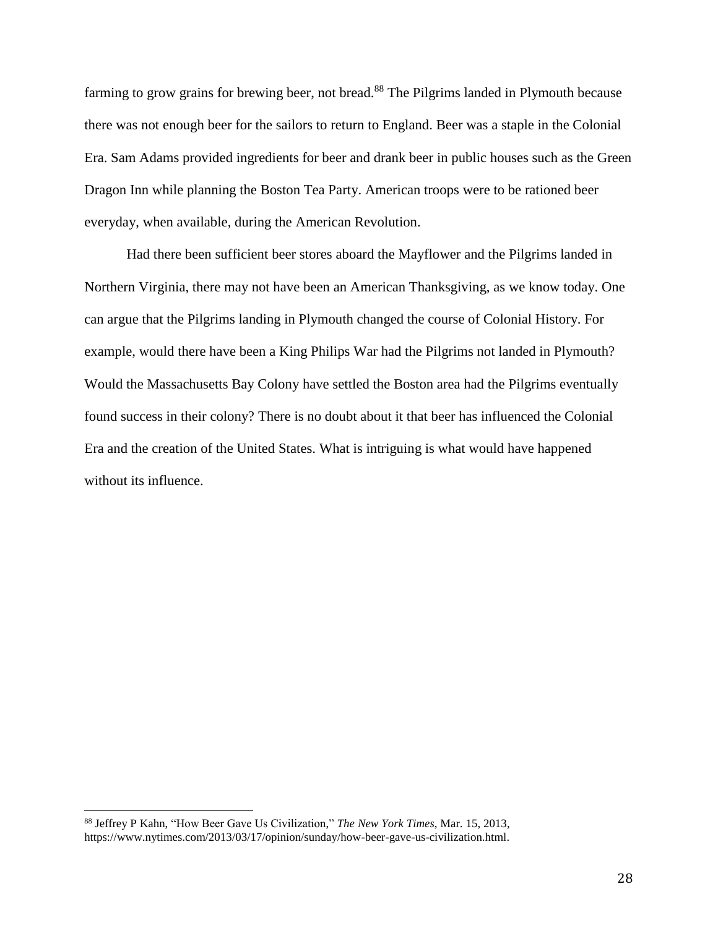farming to grow grains for brewing beer, not bread.<sup>88</sup> The Pilgrims landed in Plymouth because there was not enough beer for the sailors to return to England. Beer was a staple in the Colonial Era. Sam Adams provided ingredients for beer and drank beer in public houses such as the Green Dragon Inn while planning the Boston Tea Party. American troops were to be rationed beer everyday, when available, during the American Revolution.

Had there been sufficient beer stores aboard the Mayflower and the Pilgrims landed in Northern Virginia, there may not have been an American Thanksgiving, as we know today. One can argue that the Pilgrims landing in Plymouth changed the course of Colonial History. For example, would there have been a King Philips War had the Pilgrims not landed in Plymouth? Would the Massachusetts Bay Colony have settled the Boston area had the Pilgrims eventually found success in their colony? There is no doubt about it that beer has influenced the Colonial Era and the creation of the United States. What is intriguing is what would have happened without its influence.

l

<sup>88</sup> Jeffrey P Kahn, "How Beer Gave Us Civilization," *The New York Times*, Mar. 15, 2013, https://www.nytimes.com/2013/03/17/opinion/sunday/how-beer-gave-us-civilization.html.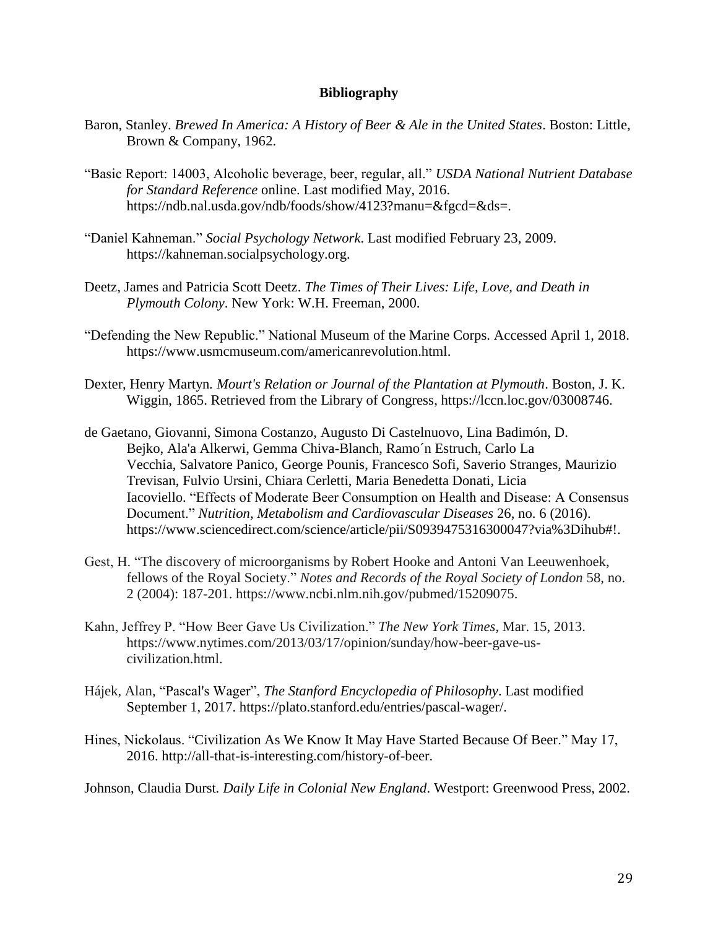#### **Bibliography**

- Baron, Stanley. *Brewed In America: A History of Beer & Ale in the United States*. Boston: Little, Brown & Company, 1962.
- "Basic Report: 14003, Alcoholic beverage, beer, regular, all." *USDA National Nutrient Database for Standard Reference* online. Last modified May, 2016. https://ndb.nal.usda.gov/ndb/foods/show/4123?manu=&fgcd=&ds=.
- "Daniel Kahneman." *Social Psychology Network*. Last modified February 23, 2009. https://kahneman.socialpsychology.org.
- Deetz, James and Patricia Scott Deetz. *The Times of Their Lives: Life, Love, and Death in Plymouth Colony*. New York: W.H. Freeman, 2000.
- "Defending the New Republic." National Museum of the Marine Corps. Accessed April 1, 2018. https://www.usmcmuseum.com/americanrevolution.html.
- Dexter, Henry Martyn*. Mourt's Relation or Journal of the Plantation at Plymouth*. Boston, J. K. Wiggin, 1865. Retrieved from the Library of Congress, https://lccn.loc.gov/03008746.
- de Gaetano, Giovanni, Simona Costanzo, Augusto Di Castelnuovo, Lina Badimón, D. Bejko, Ala'a Alkerwi, Gemma Chiva-Blanch, Ramo´n Estruch, Carlo La Vecchia, Salvatore Panico, George Pounis, Francesco Sofi, Saverio Stranges, Maurizio Trevisan, Fulvio Ursini, Chiara Cerletti, Maria Benedetta Donati, Licia Iacoviello. "Effects of Moderate Beer Consumption on Health and Disease: A Consensus Document." *Nutrition, Metabolism and Cardiovascular Diseases* 26, no. 6 (2016). https://www.sciencedirect.com/science/article/pii/S0939475316300047?via%3Dihub#!.
- Gest, H. "The discovery of microorganisms by Robert Hooke and Antoni Van Leeuwenhoek, fellows of the Royal Society." *Notes and Records of the Royal Society of London* 58, no. 2 (2004): 187-201. https://www.ncbi.nlm.nih.gov/pubmed/15209075.
- Kahn, Jeffrey P. "How Beer Gave Us Civilization." *The New York Times*, Mar. 15, 2013. https://www.nytimes.com/2013/03/17/opinion/sunday/how-beer-gave-uscivilization.html.
- Hájek, Alan, "Pascal's Wager", *The Stanford Encyclopedia of Philosophy*. Last modified September 1, 2017. https://plato.stanford.edu/entries/pascal-wager/.
- Hines, Nickolaus. "Civilization As We Know It May Have Started Because Of Beer." May 17, 2016. http://all-that-is-interesting.com/history-of-beer.

Johnson, Claudia Durst*. Daily Life in Colonial New England*. Westport: Greenwood Press, 2002.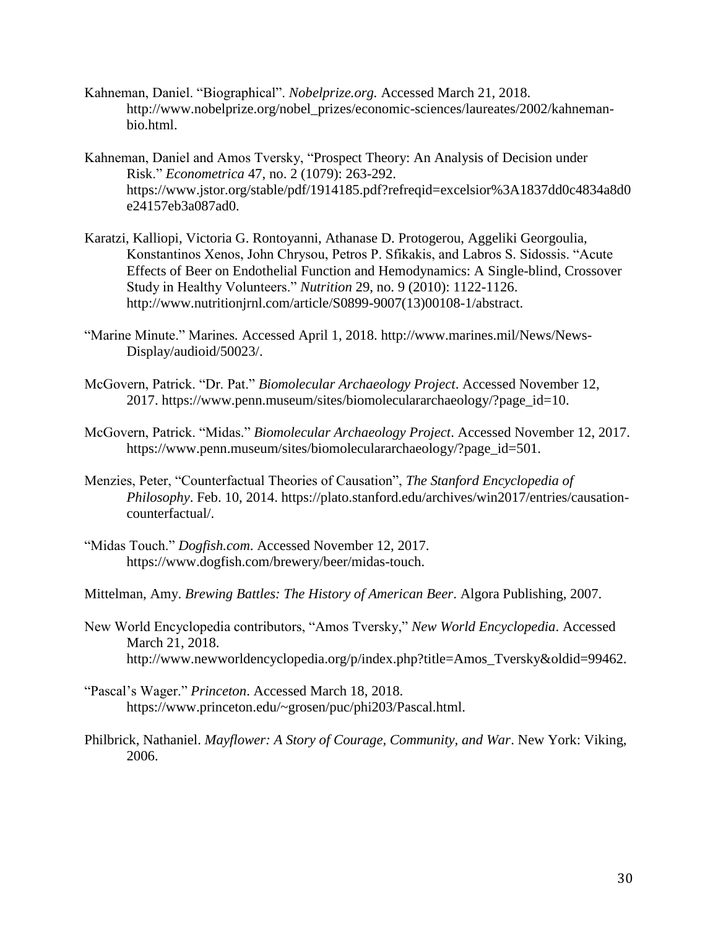- Kahneman, Daniel. "Biographical". *Nobelprize.org.* Accessed March 21, 2018. http://www.nobelprize.org/nobel\_prizes/economic-sciences/laureates/2002/kahnemanbio.html.
- Kahneman, Daniel and Amos Tversky, "Prospect Theory: An Analysis of Decision under Risk." *Econometrica* 47, no. 2 (1079): 263-292. https://www.jstor.org/stable/pdf/1914185.pdf?refreqid=excelsior%3A1837dd0c4834a8d0 e24157eb3a087ad0.
- Karatzi, Kalliopi, Victoria G. Rontoyanni, Athanase D. Protogerou, Aggeliki Georgoulia, Konstantinos Xenos, John Chrysou, Petros P. Sfikakis, and Labros S. Sidossis. "Acute Effects of Beer on Endothelial Function and Hemodynamics: A Single-blind, Crossover Study in Healthy Volunteers." *Nutrition* 29, no. 9 (2010): 1122-1126. http://www.nutritionjrnl.com/article/S0899-9007(13)00108-1/abstract.
- "Marine Minute." Marines*.* Accessed April 1, 2018. http://www.marines.mil/News/News-Display/audioid/50023/.
- McGovern, Patrick. "Dr. Pat." *Biomolecular Archaeology Project*. Accessed November 12, 2017. https://www.penn.museum/sites/biomoleculararchaeology/?page\_id=10.
- McGovern, Patrick. "Midas." *Biomolecular Archaeology Project*. Accessed November 12, 2017. https://www.penn.museum/sites/biomoleculararchaeology/?page\_id=501.
- Menzies, Peter, "Counterfactual Theories of Causation", *The Stanford Encyclopedia of Philosophy*. Feb. 10, 2014. https://plato.stanford.edu/archives/win2017/entries/causationcounterfactual/.
- "Midas Touch." *Dogfish.com*. Accessed November 12, 2017. https://www.dogfish.com/brewery/beer/midas-touch.
- Mittelman, Amy. *Brewing Battles: The History of American Beer*. Algora Publishing, 2007.
- New World Encyclopedia contributors, "Amos Tversky," *New World Encyclopedia*. Accessed March 21, 2018. http://www.newworldencyclopedia.org/p/index.php?title=Amos\_Tversky&oldid=99462.
- "Pascal's Wager." *Princeton*. Accessed March 18, 2018. https://www.princeton.edu/~grosen/puc/phi203/Pascal.html.
- Philbrick, Nathaniel. *Mayflower: A Story of Courage, Community, and War*. New York: Viking, 2006.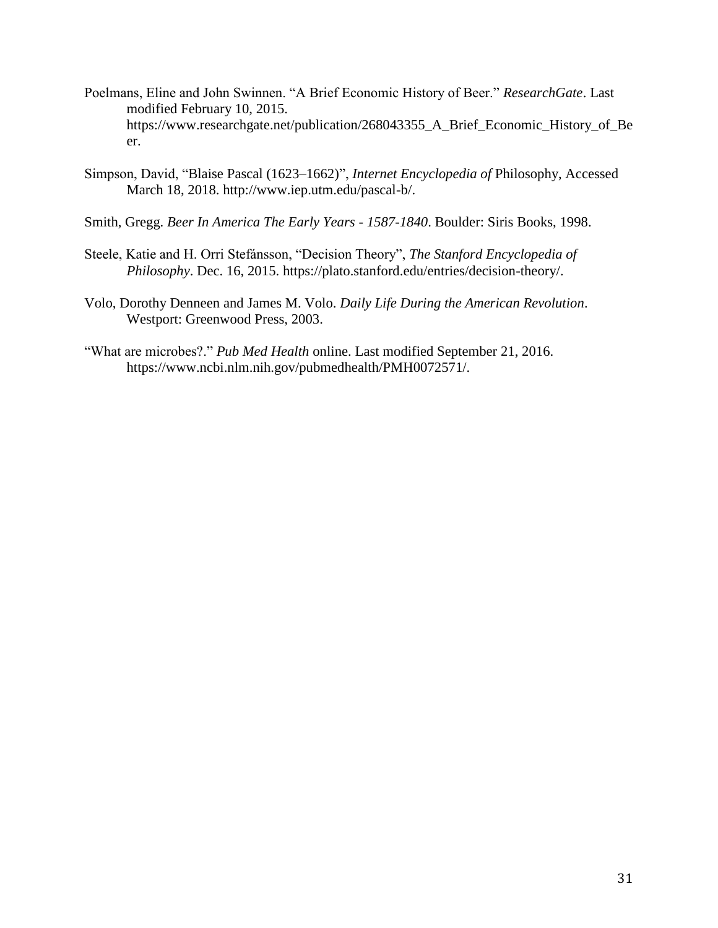- Poelmans, Eline and John Swinnen. "A Brief Economic History of Beer." *ResearchGate*. Last modified February 10, 2015. https://www.researchgate.net/publication/268043355\_A\_Brief\_Economic\_History\_of\_Be er.
- Simpson, David, "Blaise Pascal (1623–1662)", *Internet Encyclopedia of* Philosophy, Accessed March 18, 2018. http://www.iep.utm.edu/pascal-b/.
- Smith, Gregg. *Beer In America The Early Years - 1587-1840*. Boulder: Siris Books, 1998.
- Steele, Katie and H. Orri Stefánsson, "Decision Theory", *The Stanford Encyclopedia of Philosophy*. Dec. 16, 2015. https://plato.stanford.edu/entries/decision-theory/.
- Volo, Dorothy Denneen and James M. Volo. *Daily Life During the American Revolution*. Westport: Greenwood Press, 2003.
- "What are microbes?." *Pub Med Health* online. Last modified September 21, 2016. https://www.ncbi.nlm.nih.gov/pubmedhealth/PMH0072571/.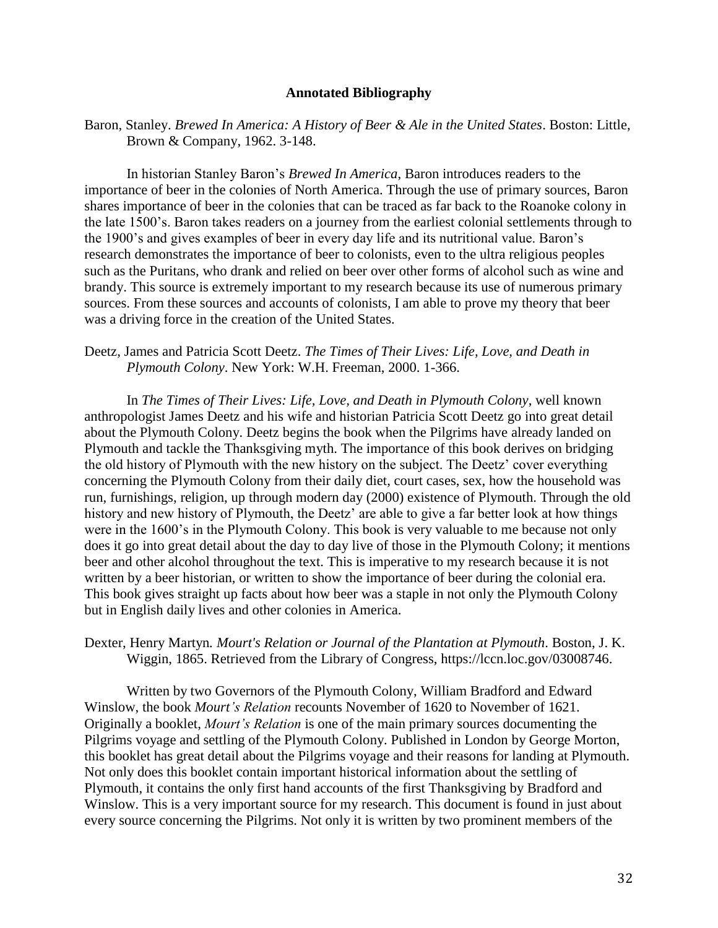#### **Annotated Bibliography**

Baron, Stanley. *Brewed In America: A History of Beer & Ale in the United States*. Boston: Little, Brown & Company, 1962. 3-148.

In historian Stanley Baron's *Brewed In America*, Baron introduces readers to the importance of beer in the colonies of North America. Through the use of primary sources, Baron shares importance of beer in the colonies that can be traced as far back to the Roanoke colony in the late 1500's. Baron takes readers on a journey from the earliest colonial settlements through to the 1900's and gives examples of beer in every day life and its nutritional value. Baron's research demonstrates the importance of beer to colonists, even to the ultra religious peoples such as the Puritans, who drank and relied on beer over other forms of alcohol such as wine and brandy. This source is extremely important to my research because its use of numerous primary sources. From these sources and accounts of colonists, I am able to prove my theory that beer was a driving force in the creation of the United States.

#### Deetz, James and Patricia Scott Deetz. *The Times of Their Lives: Life, Love, and Death in Plymouth Colony*. New York: W.H. Freeman, 2000. 1-366.

In *The Times of Their Lives: Life, Love, and Death in Plymouth Colony*, well known anthropologist James Deetz and his wife and historian Patricia Scott Deetz go into great detail about the Plymouth Colony. Deetz begins the book when the Pilgrims have already landed on Plymouth and tackle the Thanksgiving myth. The importance of this book derives on bridging the old history of Plymouth with the new history on the subject. The Deetz' cover everything concerning the Plymouth Colony from their daily diet, court cases, sex, how the household was run, furnishings, religion, up through modern day (2000) existence of Plymouth. Through the old history and new history of Plymouth, the Deetz' are able to give a far better look at how things were in the 1600's in the Plymouth Colony. This book is very valuable to me because not only does it go into great detail about the day to day live of those in the Plymouth Colony; it mentions beer and other alcohol throughout the text. This is imperative to my research because it is not written by a beer historian, or written to show the importance of beer during the colonial era. This book gives straight up facts about how beer was a staple in not only the Plymouth Colony but in English daily lives and other colonies in America.

#### Dexter, Henry Martyn*. Mourt's Relation or Journal of the Plantation at Plymouth*. Boston, J. K. Wiggin, 1865. Retrieved from the Library of Congress, https://lccn.loc.gov/03008746.

Written by two Governors of the Plymouth Colony, William Bradford and Edward Winslow, the book *Mourt's Relation* recounts November of 1620 to November of 1621. Originally a booklet, *Mourt's Relation* is one of the main primary sources documenting the Pilgrims voyage and settling of the Plymouth Colony. Published in London by George Morton, this booklet has great detail about the Pilgrims voyage and their reasons for landing at Plymouth. Not only does this booklet contain important historical information about the settling of Plymouth, it contains the only first hand accounts of the first Thanksgiving by Bradford and Winslow. This is a very important source for my research. This document is found in just about every source concerning the Pilgrims. Not only it is written by two prominent members of the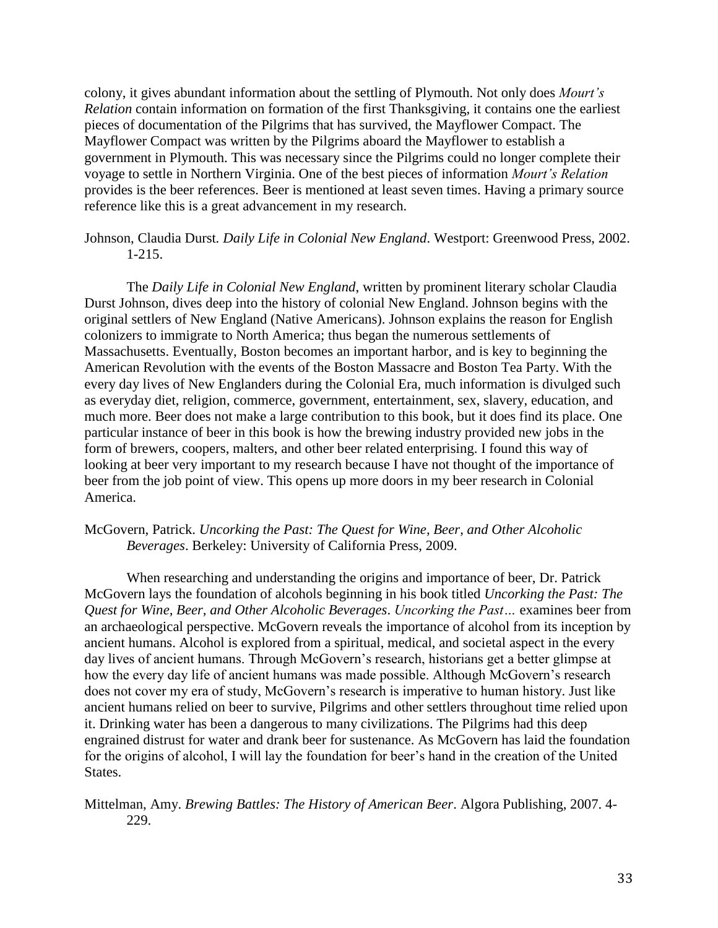colony, it gives abundant information about the settling of Plymouth. Not only does *Mourt's Relation* contain information on formation of the first Thanksgiving, it contains one the earliest pieces of documentation of the Pilgrims that has survived, the Mayflower Compact. The Mayflower Compact was written by the Pilgrims aboard the Mayflower to establish a government in Plymouth. This was necessary since the Pilgrims could no longer complete their voyage to settle in Northern Virginia. One of the best pieces of information *Mourt's Relation* provides is the beer references. Beer is mentioned at least seven times. Having a primary source reference like this is a great advancement in my research.

#### Johnson, Claudia Durst*. Daily Life in Colonial New England*. Westport: Greenwood Press, 2002. 1-215.

The *Daily Life in Colonial New England*, written by prominent literary scholar Claudia Durst Johnson, dives deep into the history of colonial New England. Johnson begins with the original settlers of New England (Native Americans). Johnson explains the reason for English colonizers to immigrate to North America; thus began the numerous settlements of Massachusetts. Eventually, Boston becomes an important harbor, and is key to beginning the American Revolution with the events of the Boston Massacre and Boston Tea Party. With the every day lives of New Englanders during the Colonial Era, much information is divulged such as everyday diet, religion, commerce, government, entertainment, sex, slavery, education, and much more. Beer does not make a large contribution to this book, but it does find its place. One particular instance of beer in this book is how the brewing industry provided new jobs in the form of brewers, coopers, malters, and other beer related enterprising. I found this way of looking at beer very important to my research because I have not thought of the importance of beer from the job point of view. This opens up more doors in my beer research in Colonial America.

#### McGovern, Patrick. *Uncorking the Past: The Quest for Wine, Beer, and Other Alcoholic Beverages*. Berkeley: University of California Press, 2009.

When researching and understanding the origins and importance of beer, Dr. Patrick McGovern lays the foundation of alcohols beginning in his book titled *Uncorking the Past: The Quest for Wine, Beer, and Other Alcoholic Beverages*. *Uncorking the Past…* examines beer from an archaeological perspective. McGovern reveals the importance of alcohol from its inception by ancient humans. Alcohol is explored from a spiritual, medical, and societal aspect in the every day lives of ancient humans. Through McGovern's research, historians get a better glimpse at how the every day life of ancient humans was made possible. Although McGovern's research does not cover my era of study, McGovern's research is imperative to human history. Just like ancient humans relied on beer to survive, Pilgrims and other settlers throughout time relied upon it. Drinking water has been a dangerous to many civilizations. The Pilgrims had this deep engrained distrust for water and drank beer for sustenance. As McGovern has laid the foundation for the origins of alcohol, I will lay the foundation for beer's hand in the creation of the United States.

#### Mittelman, Amy. *Brewing Battles: The History of American Beer*. Algora Publishing, 2007. 4- 229.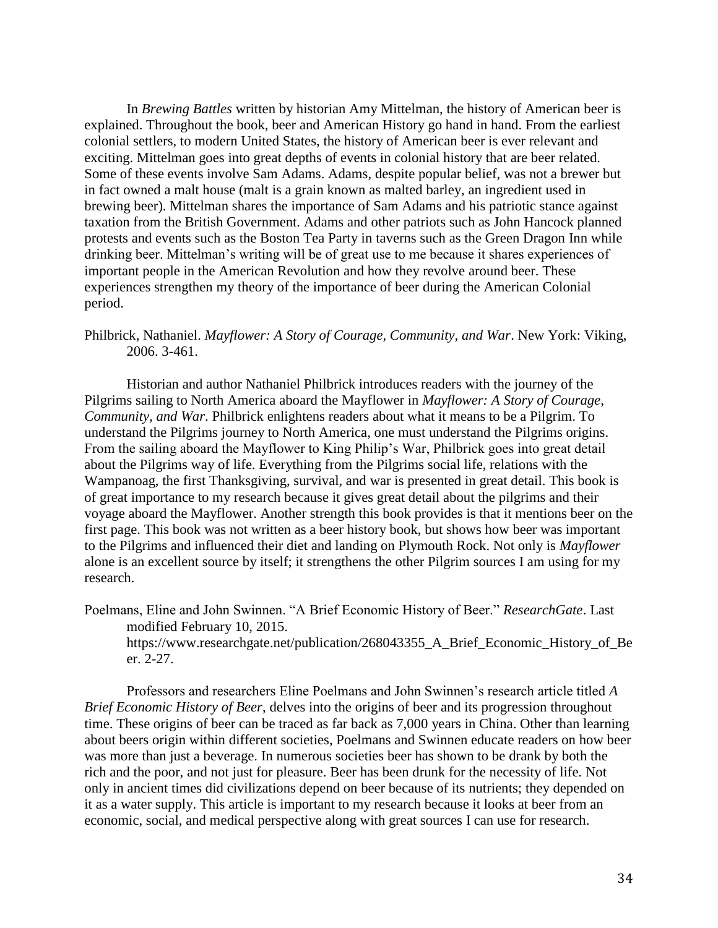In *Brewing Battles* written by historian Amy Mittelman, the history of American beer is explained. Throughout the book, beer and American History go hand in hand. From the earliest colonial settlers, to modern United States, the history of American beer is ever relevant and exciting. Mittelman goes into great depths of events in colonial history that are beer related. Some of these events involve Sam Adams. Adams, despite popular belief, was not a brewer but in fact owned a malt house (malt is a grain known as malted barley, an ingredient used in brewing beer). Mittelman shares the importance of Sam Adams and his patriotic stance against taxation from the British Government. Adams and other patriots such as John Hancock planned protests and events such as the Boston Tea Party in taverns such as the Green Dragon Inn while drinking beer. Mittelman's writing will be of great use to me because it shares experiences of important people in the American Revolution and how they revolve around beer. These experiences strengthen my theory of the importance of beer during the American Colonial period.

#### Philbrick, Nathaniel. *Mayflower: A Story of Courage, Community, and War*. New York: Viking, 2006. 3-461.

Historian and author Nathaniel Philbrick introduces readers with the journey of the Pilgrims sailing to North America aboard the Mayflower in *Mayflower: A Story of Courage, Community, and War*. Philbrick enlightens readers about what it means to be a Pilgrim. To understand the Pilgrims journey to North America, one must understand the Pilgrims origins. From the sailing aboard the Mayflower to King Philip's War, Philbrick goes into great detail about the Pilgrims way of life. Everything from the Pilgrims social life, relations with the Wampanoag, the first Thanksgiving, survival, and war is presented in great detail. This book is of great importance to my research because it gives great detail about the pilgrims and their voyage aboard the Mayflower. Another strength this book provides is that it mentions beer on the first page. This book was not written as a beer history book, but shows how beer was important to the Pilgrims and influenced their diet and landing on Plymouth Rock. Not only is *Mayflower* alone is an excellent source by itself; it strengthens the other Pilgrim sources I am using for my research.

Poelmans, Eline and John Swinnen. "A Brief Economic History of Beer." *ResearchGate*. Last modified February 10, 2015.

https://www.researchgate.net/publication/268043355\_A\_Brief\_Economic\_History\_of\_Be er. 2-27.

Professors and researchers Eline Poelmans and John Swinnen's research article titled *A Brief Economic History of Beer*, delves into the origins of beer and its progression throughout time. These origins of beer can be traced as far back as 7,000 years in China. Other than learning about beers origin within different societies, Poelmans and Swinnen educate readers on how beer was more than just a beverage. In numerous societies beer has shown to be drank by both the rich and the poor, and not just for pleasure. Beer has been drunk for the necessity of life. Not only in ancient times did civilizations depend on beer because of its nutrients; they depended on it as a water supply. This article is important to my research because it looks at beer from an economic, social, and medical perspective along with great sources I can use for research.